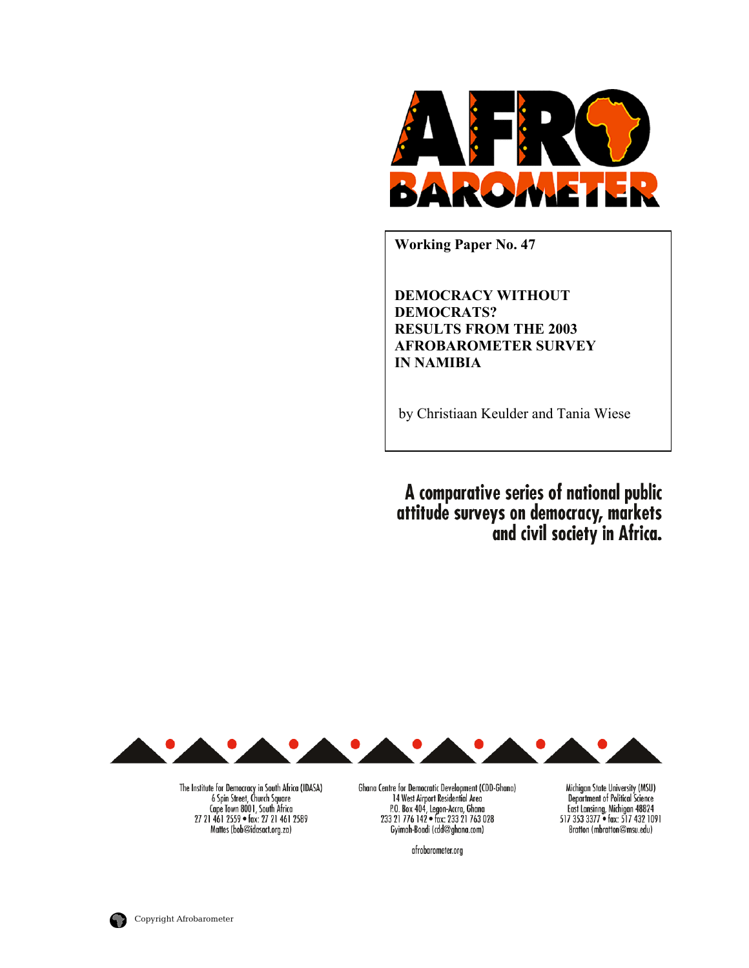

**Working Paper No. 47** 

**DEMOCRACY WITHOUT DEMOCRATS? RESULTS FROM THE 2003 AFROBAROMETER SURVEY IN NAMIBIA**

by Christiaan Keulder and Tania Wiese

A comparative series of national public<br>attitude surveys on democracy, markets<br>and civil society in Africa.



The Institute for Democracy in South Africa (IDASA) 6 Spin Street, Church Square<br>Cape Town 8001, South Africa 27 21 461 2559 · fax: 27 21 461 2589 Mattes (bob@idasact.org.za)

Ghana Centre for Democratic Development (CDD-Ghana) 14 West Airport Residential Area P.O. Box 404, Legon-Accra, Ghana<br>233 21 776 142 • fax: 233 21 763 028 Gyimah-Boadi (cdd@ghana.com)

afrobarometer.org

Michigan State University (MSU) Department of Political Science<br>East Lansing, Michigan 48824<br>517 353 3377 • fax: 517 432 1091 Bratton (mbratton@msu.edu)

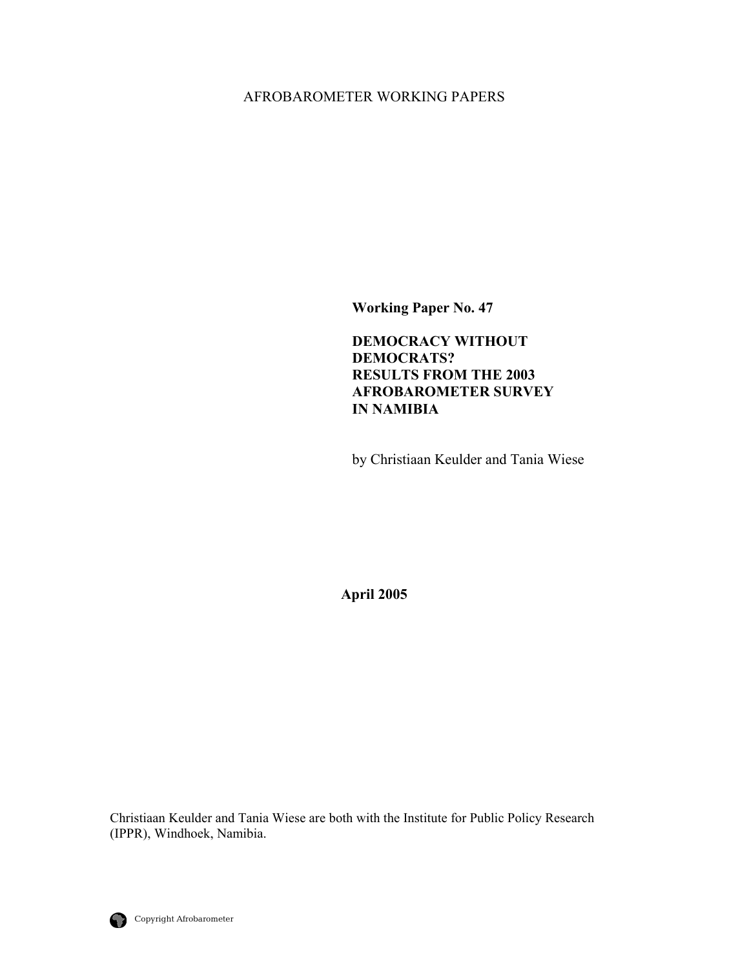## AFROBAROMETER WORKING PAPERS

**Working Paper No. 47** 

**DEMOCRACY WITHOUT DEMOCRATS? RESULTS FROM THE 2003 AFROBAROMETER SURVEY IN NAMIBIA** 

by Christiaan Keulder and Tania Wiese

**April 2005** 

Christiaan Keulder and Tania Wiese are both with the Institute for Public Policy Research (IPPR), Windhoek, Namibia.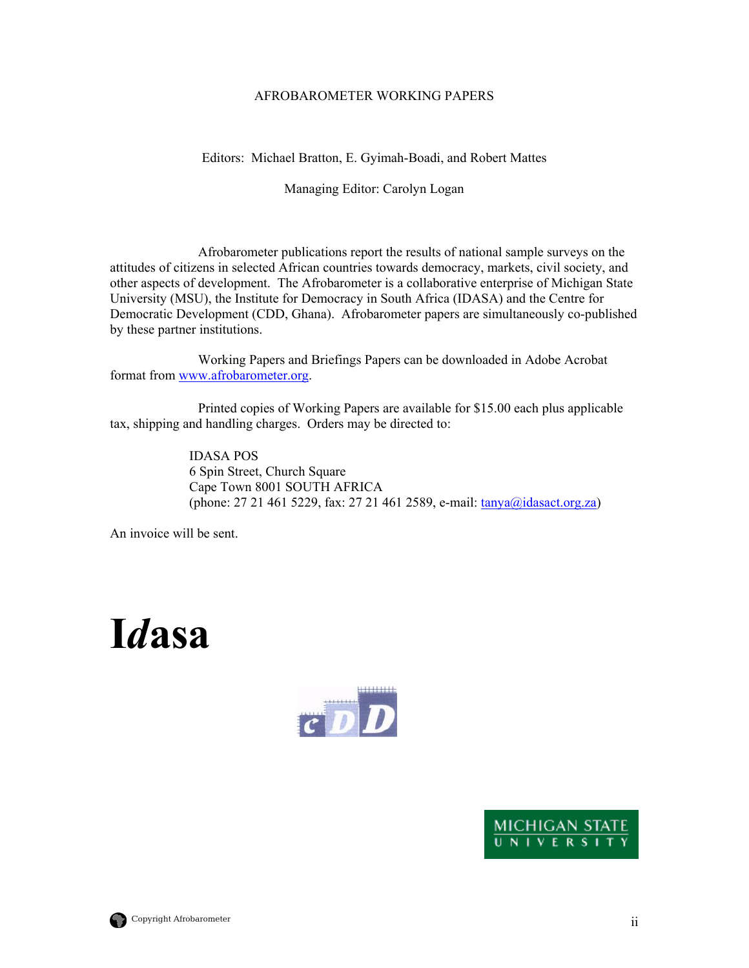#### AFROBAROMETER WORKING PAPERS

#### Editors: Michael Bratton, E. Gyimah-Boadi, and Robert Mattes

Managing Editor: Carolyn Logan

 Afrobarometer publications report the results of national sample surveys on the attitudes of citizens in selected African countries towards democracy, markets, civil society, and other aspects of development. The Afrobarometer is a collaborative enterprise of Michigan State University (MSU), the Institute for Democracy in South Africa (IDASA) and the Centre for Democratic Development (CDD, Ghana). Afrobarometer papers are simultaneously co-published by these partner institutions.

 Working Papers and Briefings Papers can be downloaded in Adobe Acrobat format from [www.afrobarometer.org](http://www.afrobarometer.org/).

 Printed copies of Working Papers are available for \$15.00 each plus applicable tax, shipping and handling charges. Orders may be directed to:

> IDASA POS 6 Spin Street, Church Square Cape Town 8001 SOUTH AFRICA (phone: 27 21 461 5229, fax: 27 21 461 2589, e-mail:  $\frac{\tan y a(\omega)$  idasact.org.za)

An invoice will be sent.

# **I***d***asa**





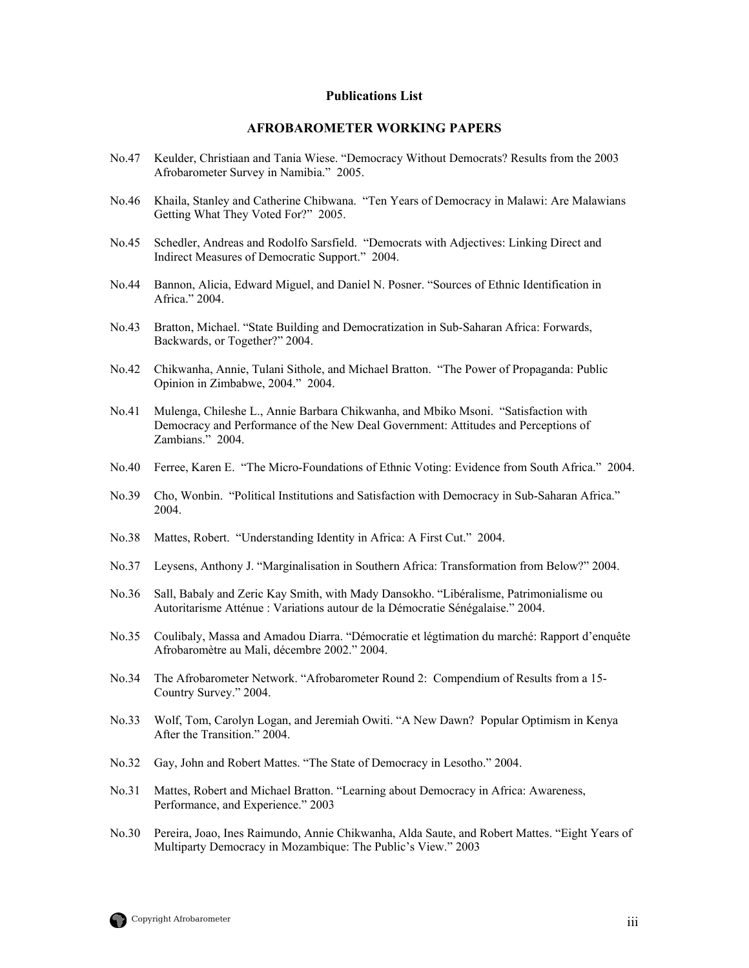#### **Publications List**

#### **AFROBAROMETER WORKING PAPERS**

- No.47 Keulder, Christiaan and Tania Wiese. "Democracy Without Democrats? Results from the 2003 Afrobarometer Survey in Namibia." 2005.
- No.46 Khaila, Stanley and Catherine Chibwana. "Ten Years of Democracy in Malawi: Are Malawians Getting What They Voted For?" 2005.
- No.45 Schedler, Andreas and Rodolfo Sarsfield. "Democrats with Adjectives: Linking Direct and Indirect Measures of Democratic Support." 2004.
- No.44 Bannon, Alicia, Edward Miguel, and Daniel N. Posner. "Sources of Ethnic Identification in Africa." 2004.
- No.43 Bratton, Michael. "State Building and Democratization in Sub-Saharan Africa: Forwards, Backwards, or Together?" 2004.
- No.42 Chikwanha, Annie, Tulani Sithole, and Michael Bratton. "The Power of Propaganda: Public Opinion in Zimbabwe, 2004." 2004.
- No.41 Mulenga, Chileshe L., Annie Barbara Chikwanha, and Mbiko Msoni. "Satisfaction with Democracy and Performance of the New Deal Government: Attitudes and Perceptions of Zambians." 2004.
- No.40 Ferree, Karen E. "The Micro-Foundations of Ethnic Voting: Evidence from South Africa." 2004.
- No.39 Cho, Wonbin. "Political Institutions and Satisfaction with Democracy in Sub-Saharan Africa." 2004.
- No.38 Mattes, Robert. "Understanding Identity in Africa: A First Cut." 2004.
- No.37 Leysens, Anthony J. "Marginalisation in Southern Africa: Transformation from Below?" 2004.
- No.36 Sall, Babaly and Zeric Kay Smith, with Mady Dansokho. "Libéralisme, Patrimonialisme ou Autoritarisme Atténue : Variations autour de la Démocratie Sénégalaise." 2004.
- No.35 Coulibaly, Massa and Amadou Diarra. "Démocratie et légtimation du marché: Rapport d'enquête Afrobaromètre au Mali, décembre 2002." 2004.
- No.34 The Afrobarometer Network. "Afrobarometer Round 2: Compendium of Results from a 15- Country Survey." 2004.
- No.33 Wolf, Tom, Carolyn Logan, and Jeremiah Owiti. "A New Dawn? Popular Optimism in Kenya After the Transition." 2004.
- No.32 Gay, John and Robert Mattes. "The State of Democracy in Lesotho." 2004.
- No.31 Mattes, Robert and Michael Bratton. "Learning about Democracy in Africa: Awareness, Performance, and Experience." 2003
- No.30 Pereira, Joao, Ines Raimundo, Annie Chikwanha, Alda Saute, and Robert Mattes. "Eight Years of Multiparty Democracy in Mozambique: The Public's View." 2003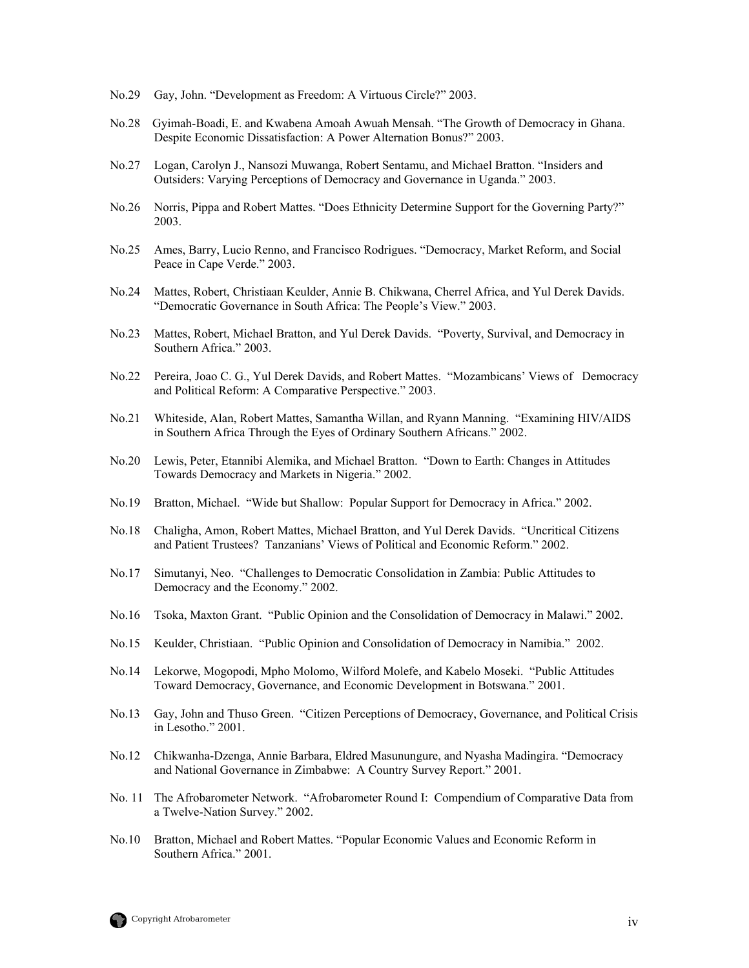- No.29 Gay, John. "Development as Freedom: A Virtuous Circle?" 2003.
- No.28 Gyimah-Boadi, E. and Kwabena Amoah Awuah Mensah. "The Growth of Democracy in Ghana. Despite Economic Dissatisfaction: A Power Alternation Bonus?" 2003.
- No.27 Logan, Carolyn J., Nansozi Muwanga, Robert Sentamu, and Michael Bratton. "Insiders and Outsiders: Varying Perceptions of Democracy and Governance in Uganda." 2003.
- No.26 Norris, Pippa and Robert Mattes. "Does Ethnicity Determine Support for the Governing Party?" 2003.
- No.25 Ames, Barry, Lucio Renno, and Francisco Rodrigues. "Democracy, Market Reform, and Social Peace in Cape Verde." 2003.
- No.24 Mattes, Robert, Christiaan Keulder, Annie B. Chikwana, Cherrel Africa, and Yul Derek Davids. "Democratic Governance in South Africa: The People's View." 2003.
- No.23 Mattes, Robert, Michael Bratton, and Yul Derek Davids. "Poverty, Survival, and Democracy in Southern Africa." 2003.
- No.22 Pereira, Joao C. G., Yul Derek Davids, and Robert Mattes. "Mozambicans' Views of Democracy and Political Reform: A Comparative Perspective." 2003.
- No.21 Whiteside, Alan, Robert Mattes, Samantha Willan, and Ryann Manning. "Examining HIV/AIDS in Southern Africa Through the Eyes of Ordinary Southern Africans." 2002.
- No.20 Lewis, Peter, Etannibi Alemika, and Michael Bratton. "Down to Earth: Changes in Attitudes Towards Democracy and Markets in Nigeria." 2002.
- No.19 Bratton, Michael. "Wide but Shallow: Popular Support for Democracy in Africa." 2002.
- No.18 Chaligha, Amon, Robert Mattes, Michael Bratton, and Yul Derek Davids. "Uncritical Citizens and Patient Trustees? Tanzanians' Views of Political and Economic Reform." 2002.
- No.17 Simutanyi, Neo. "Challenges to Democratic Consolidation in Zambia: Public Attitudes to Democracy and the Economy." 2002.
- No.16 Tsoka, Maxton Grant. "Public Opinion and the Consolidation of Democracy in Malawi." 2002.
- No.15 Keulder, Christiaan. "Public Opinion and Consolidation of Democracy in Namibia." 2002.
- No.14 Lekorwe, Mogopodi, Mpho Molomo, Wilford Molefe, and Kabelo Moseki. "Public Attitudes Toward Democracy, Governance, and Economic Development in Botswana." 2001.
- No.13 Gay, John and Thuso Green. "Citizen Perceptions of Democracy, Governance, and Political Crisis in Lesotho." 2001.
- No.12 Chikwanha-Dzenga, Annie Barbara, Eldred Masunungure, and Nyasha Madingira. "Democracy and National Governance in Zimbabwe: A Country Survey Report." 2001.
- No. 11 The Afrobarometer Network. "Afrobarometer Round I: Compendium of Comparative Data from a Twelve-Nation Survey." 2002.
- No.10 Bratton, Michael and Robert Mattes. "Popular Economic Values and Economic Reform in Southern Africa." 2001.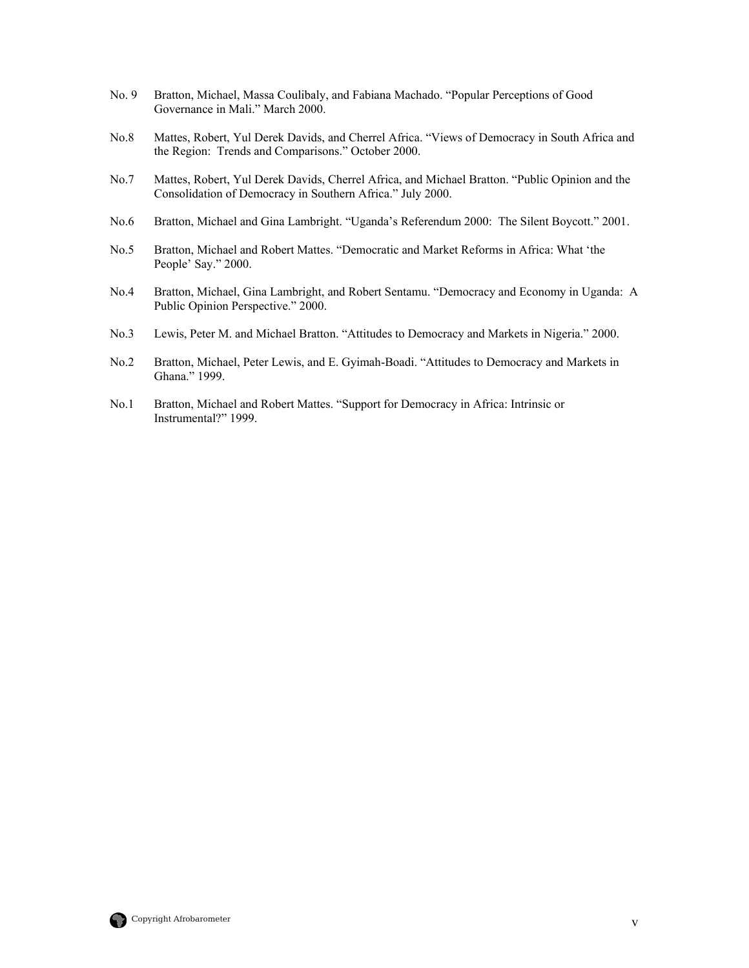- No. 9 Bratton, Michael, Massa Coulibaly, and Fabiana Machado. "Popular Perceptions of Good Governance in Mali." March 2000.
- No.8 Mattes, Robert, Yul Derek Davids, and Cherrel Africa. "Views of Democracy in South Africa and the Region: Trends and Comparisons." October 2000.
- No.7 Mattes, Robert, Yul Derek Davids, Cherrel Africa, and Michael Bratton. "Public Opinion and the Consolidation of Democracy in Southern Africa." July 2000.
- No.6 Bratton, Michael and Gina Lambright. "Uganda's Referendum 2000: The Silent Boycott." 2001.
- No.5 Bratton, Michael and Robert Mattes. "Democratic and Market Reforms in Africa: What 'the People' Say." 2000.
- No.4 Bratton, Michael, Gina Lambright, and Robert Sentamu. "Democracy and Economy in Uganda: A Public Opinion Perspective." 2000.
- No.3 Lewis, Peter M. and Michael Bratton. "Attitudes to Democracy and Markets in Nigeria." 2000.
- No.2 Bratton, Michael, Peter Lewis, and E. Gyimah-Boadi. "Attitudes to Democracy and Markets in Ghana." 1999.
- No.1 Bratton, Michael and Robert Mattes. "Support for Democracy in Africa: Intrinsic or Instrumental?" 1999.

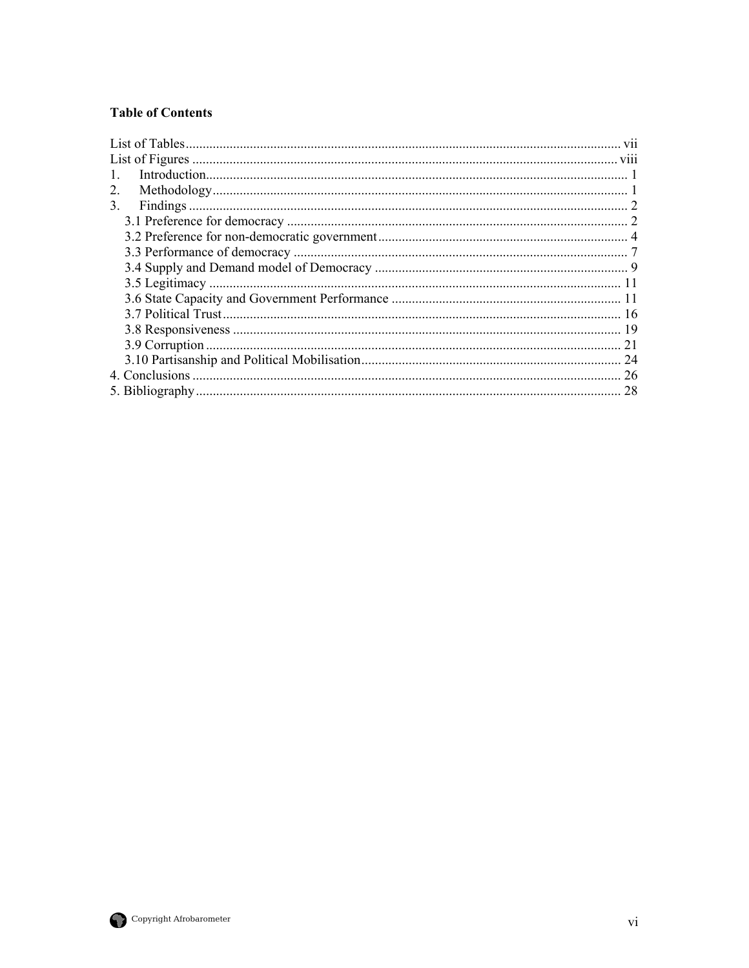#### **Table of Contents**

| $\mathbf{1}$ |    |
|--------------|----|
| 2.           |    |
| 3.           |    |
|              |    |
|              |    |
|              |    |
|              |    |
|              |    |
|              |    |
|              |    |
|              |    |
|              | 21 |
|              |    |
|              |    |
|              |    |

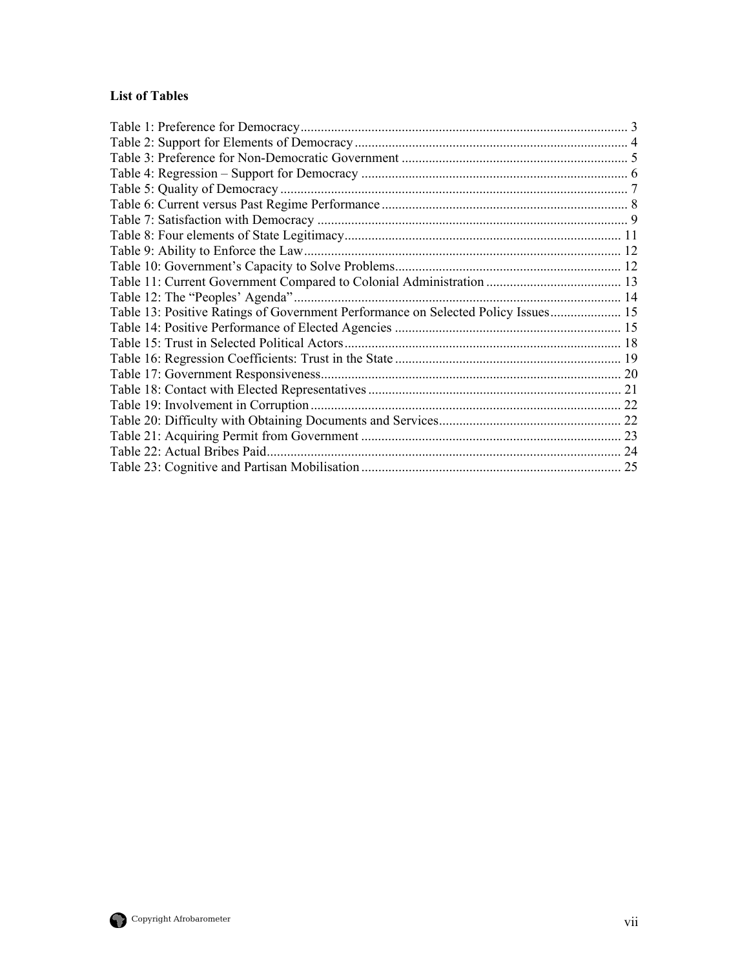## <span id="page-7-0"></span>**List of Tables**

| Table 12: The "Peoples' Agenda"                                                   |  |
|-----------------------------------------------------------------------------------|--|
| Table 13: Positive Ratings of Government Performance on Selected Policy Issues 15 |  |
|                                                                                   |  |
|                                                                                   |  |
|                                                                                   |  |
|                                                                                   |  |
|                                                                                   |  |
|                                                                                   |  |
|                                                                                   |  |
|                                                                                   |  |
|                                                                                   |  |
|                                                                                   |  |

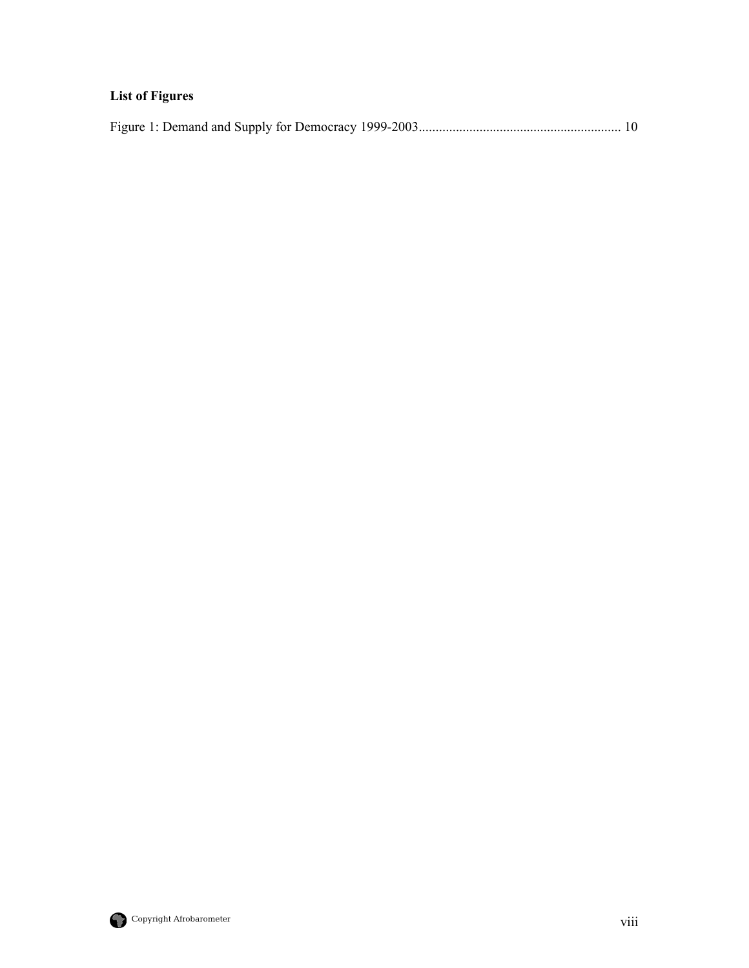## <span id="page-8-0"></span>**List of Figures**

|--|--|

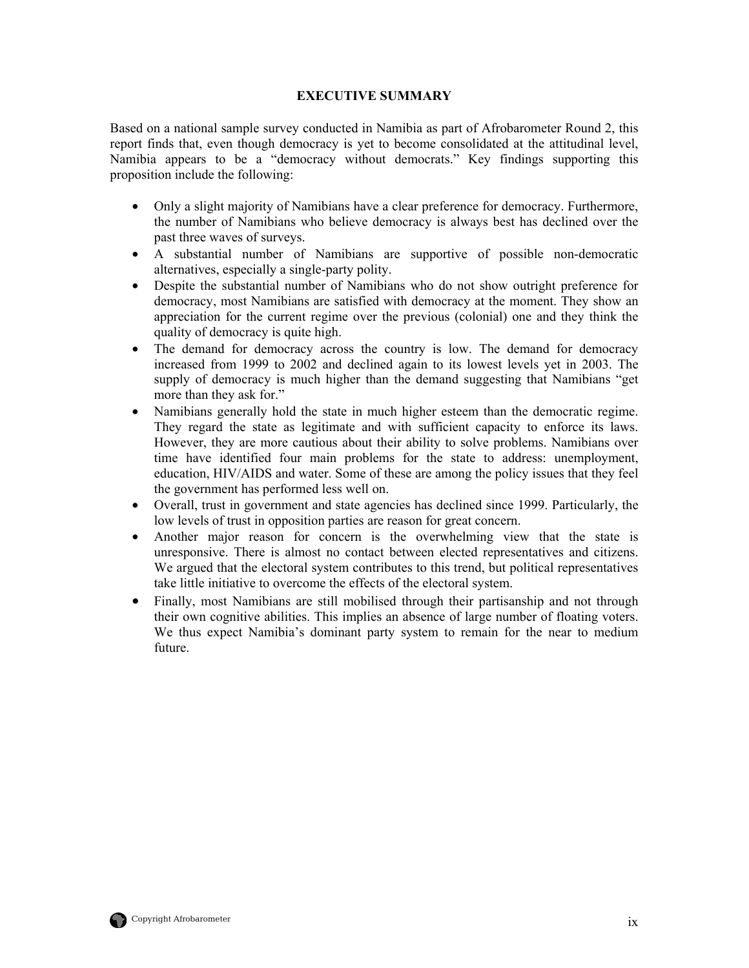#### **EXECUTIVE SUMMARY**

Based on a national sample survey conducted in Namibia as part of Afrobarometer Round 2, this report finds that, even though democracy is yet to become consolidated at the attitudinal level, Namibia appears to be a "democracy without democrats." Key findings supporting this proposition include the following:

- Only a slight majority of Namibians have a clear preference for democracy. Furthermore, the number of Namibians who believe democracy is always best has declined over the past three waves of surveys.
- A substantial number of Namibians are supportive of possible non-democratic alternatives, especially a single-party polity.
- Despite the substantial number of Namibians who do not show outright preference for democracy, most Namibians are satisfied with democracy at the moment. They show an appreciation for the current regime over the previous (colonial) one and they think the quality of democracy is quite high.
- The demand for democracy across the country is low. The demand for democracy increased from 1999 to 2002 and declined again to its lowest levels yet in 2003. The supply of democracy is much higher than the demand suggesting that Namibians "get more than they ask for."
- Namibians generally hold the state in much higher esteem than the democratic regime. They regard the state as legitimate and with sufficient capacity to enforce its laws. However, they are more cautious about their ability to solve problems. Namibians over time have identified four main problems for the state to address: unemployment, education, HIV/AIDS and water. Some of these are among the policy issues that they feel the government has performed less well on.
- Overall, trust in government and state agencies has declined since 1999. Particularly, the low levels of trust in opposition parties are reason for great concern.
- Another major reason for concern is the overwhelming view that the state is unresponsive. There is almost no contact between elected representatives and citizens. We argued that the electoral system contributes to this trend, but political representatives take little initiative to overcome the effects of the electoral system.
- Finally, most Namibians are still mobilised through their partisanship and not through their own cognitive abilities. This implies an absence of large number of floating voters. We thus expect Namibia's dominant party system to remain for the near to medium future.

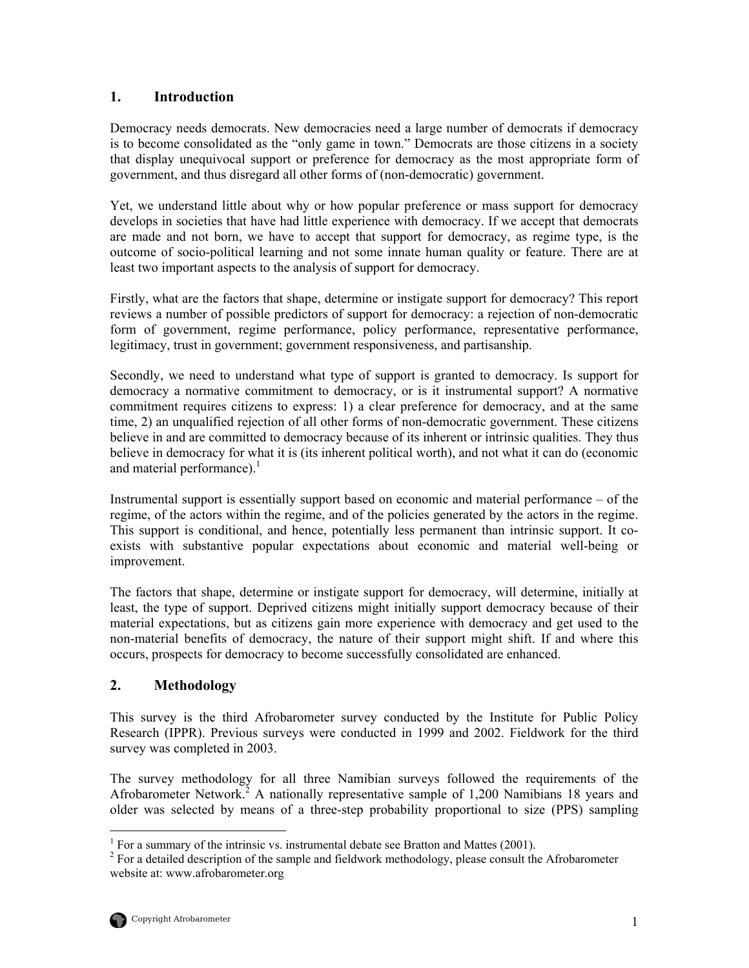## <span id="page-10-0"></span>**1. Introduction**

Democracy needs democrats. New democracies need a large number of democrats if democracy is to become consolidated as the "only game in town." Democrats are those citizens in a society that display unequivocal support or preference for democracy as the most appropriate form of government, and thus disregard all other forms of (non-democratic) government.

Yet, we understand little about why or how popular preference or mass support for democracy develops in societies that have had little experience with democracy. If we accept that democrats are made and not born, we have to accept that support for democracy, as regime type, is the outcome of socio-political learning and not some innate human quality or feature. There are at least two important aspects to the analysis of support for democracy.

Firstly, what are the factors that shape, determine or instigate support for democracy? This report reviews a number of possible predictors of support for democracy: a rejection of non-democratic form of government, regime performance, policy performance, representative performance, legitimacy, trust in government; government responsiveness, and partisanship.

Secondly, we need to understand what type of support is granted to democracy. Is support for democracy a normative commitment to democracy, or is it instrumental support? A normative commitment requires citizens to express: 1) a clear preference for democracy, and at the same time, 2) an unqualified rejection of all other forms of non-democratic government. These citizens believe in and are committed to democracy because of its inherent or intrinsic qualities. They thus believe in democracy for what it is (its inherent political worth), and not what it can do (economic and material performance).<sup>[1](#page-10-1)</sup>

Instrumental support is essentially support based on economic and material performance – of the regime, of the actors within the regime, and of the policies generated by the actors in the regime. This support is conditional, and hence, potentially less permanent than intrinsic support. It coexists with substantive popular expectations about economic and material well-being or improvement.

The factors that shape, determine or instigate support for democracy, will determine, initially at least, the type of support. Deprived citizens might initially support democracy because of their material expectations, but as citizens gain more experience with democracy and get used to the non-material benefits of democracy, the nature of their support might shift. If and where this occurs, prospects for democracy to become successfully consolidated are enhanced.

## **2. Methodology**

This survey is the third Afrobarometer survey conducted by the Institute for Public Policy Research (IPPR). Previous surveys were conducted in 1999 and 2002. Fieldwork for the third survey was completed in 2003.

The survey methodology for all three Namibian surveys followed the requirements of the Afrobarometer Network.<sup>[2](#page-10-2)</sup> A nationally representative sample of 1,200 Namibians 18 years and older was selected by means of a three-step probability proportional to size (PPS) sampling

 $\frac{1}{1}$  $<sup>1</sup>$  For a summary of the intrinsic vs. instrumental debate see Bratton and Mattes (2001).</sup>

<span id="page-10-2"></span><span id="page-10-1"></span> $2$  For a detailed description of the sample and fieldwork methodology, please consult the Afrobarometer website at: www.afrobarometer.org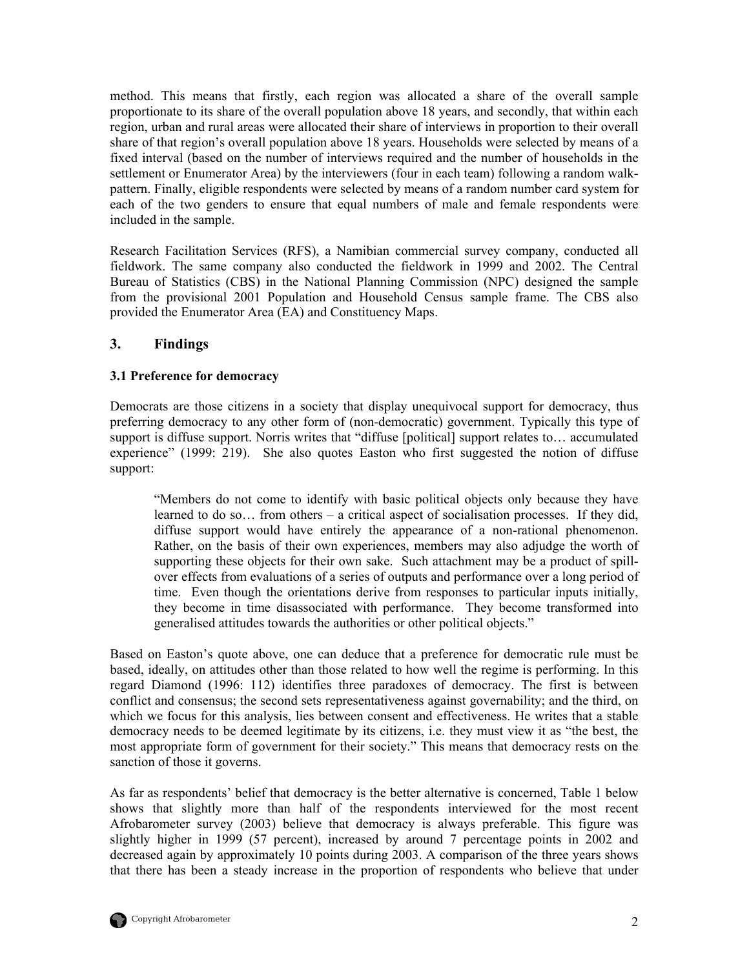<span id="page-11-0"></span>method. This means that firstly, each region was allocated a share of the overall sample proportionate to its share of the overall population above 18 years, and secondly, that within each region, urban and rural areas were allocated their share of interviews in proportion to their overall share of that region's overall population above 18 years. Households were selected by means of a fixed interval (based on the number of interviews required and the number of households in the settlement or Enumerator Area) by the interviewers (four in each team) following a random walkpattern. Finally, eligible respondents were selected by means of a random number card system for each of the two genders to ensure that equal numbers of male and female respondents were included in the sample.

Research Facilitation Services (RFS), a Namibian commercial survey company, conducted all fieldwork. The same company also conducted the fieldwork in 1999 and 2002. The Central Bureau of Statistics (CBS) in the National Planning Commission (NPC) designed the sample from the provisional 2001 Population and Household Census sample frame. The CBS also provided the Enumerator Area (EA) and Constituency Maps.

## **3. Findings**

#### **3.1 Preference for democracy**

Democrats are those citizens in a society that display unequivocal support for democracy, thus preferring democracy to any other form of (non-democratic) government. Typically this type of support is diffuse support. Norris writes that "diffuse [political] support relates to... accumulated experience" (1999: 219). She also quotes Easton who first suggested the notion of diffuse support:

"Members do not come to identify with basic political objects only because they have learned to do so… from others – a critical aspect of socialisation processes. If they did, diffuse support would have entirely the appearance of a non-rational phenomenon. Rather, on the basis of their own experiences, members may also adjudge the worth of supporting these objects for their own sake. Such attachment may be a product of spillover effects from evaluations of a series of outputs and performance over a long period of time. Even though the orientations derive from responses to particular inputs initially, they become in time disassociated with performance. They become transformed into generalised attitudes towards the authorities or other political objects."

Based on Easton's quote above, one can deduce that a preference for democratic rule must be based, ideally, on attitudes other than those related to how well the regime is performing. In this regard Diamond (1996: 112) identifies three paradoxes of democracy. The first is between conflict and consensus; the second sets representativeness against governability; and the third, on which we focus for this analysis, lies between consent and effectiveness. He writes that a stable democracy needs to be deemed legitimate by its citizens, i.e. they must view it as "the best, the most appropriate form of government for their society." This means that democracy rests on the sanction of those it governs.

As far as respondents' belief that democracy is the better alternative is concerned, Table 1 below shows that slightly more than half of the respondents interviewed for the most recent Afrobarometer survey (2003) believe that democracy is always preferable. This figure was slightly higher in 1999 (57 percent), increased by around 7 percentage points in 2002 and decreased again by approximately 10 points during 2003. A comparison of the three years shows that there has been a steady increase in the proportion of respondents who believe that under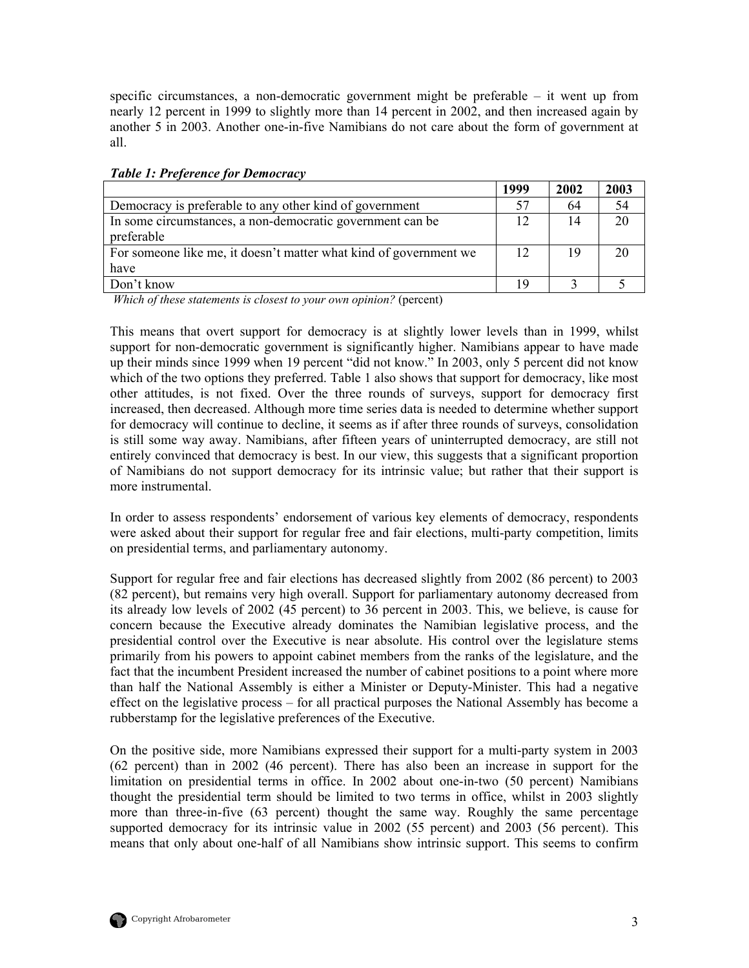<span id="page-12-0"></span>specific circumstances, a non-democratic government might be preferable – it went up from nearly 12 percent in 1999 to slightly more than 14 percent in 2002, and then increased again by another 5 in 2003. Another one-in-five Namibians do not care about the form of government at all.

|                                                                         | 1999 | 2002 | 2003 |
|-------------------------------------------------------------------------|------|------|------|
| Democracy is preferable to any other kind of government                 | 57   | 64   | 54   |
| In some circumstances, a non-democratic government can be<br>preferable | 12   | 14   | 20   |
| For someone like me, it doesn't matter what kind of government we       | 12   | 19   | 20   |
| have                                                                    |      |      |      |
| Don't know                                                              | 19   |      |      |

#### *Table 1: Preference for Democracy*

 *Which of these statements is closest to your own opinion?* (percent)

This means that overt support for democracy is at slightly lower levels than in 1999, whilst support for non-democratic government is significantly higher. Namibians appear to have made up their minds since 1999 when 19 percent "did not know." In 2003, only 5 percent did not know which of the two options they preferred. Table 1 also shows that support for democracy, like most other attitudes, is not fixed. Over the three rounds of surveys, support for democracy first increased, then decreased. Although more time series data is needed to determine whether support for democracy will continue to decline, it seems as if after three rounds of surveys, consolidation is still some way away. Namibians, after fifteen years of uninterrupted democracy, are still not entirely convinced that democracy is best. In our view, this suggests that a significant proportion of Namibians do not support democracy for its intrinsic value; but rather that their support is more instrumental.

In order to assess respondents' endorsement of various key elements of democracy, respondents were asked about their support for regular free and fair elections, multi-party competition, limits on presidential terms, and parliamentary autonomy.

Support for regular free and fair elections has decreased slightly from 2002 (86 percent) to 2003 (82 percent), but remains very high overall. Support for parliamentary autonomy decreased from its already low levels of 2002 (45 percent) to 36 percent in 2003. This, we believe, is cause for concern because the Executive already dominates the Namibian legislative process, and the presidential control over the Executive is near absolute. His control over the legislature stems primarily from his powers to appoint cabinet members from the ranks of the legislature, and the fact that the incumbent President increased the number of cabinet positions to a point where more than half the National Assembly is either a Minister or Deputy-Minister. This had a negative effect on the legislative process – for all practical purposes the National Assembly has become a rubberstamp for the legislative preferences of the Executive.

On the positive side, more Namibians expressed their support for a multi-party system in 2003 (62 percent) than in 2002 (46 percent). There has also been an increase in support for the limitation on presidential terms in office. In 2002 about one-in-two (50 percent) Namibians thought the presidential term should be limited to two terms in office, whilst in 2003 slightly more than three-in-five (63 percent) thought the same way. Roughly the same percentage supported democracy for its intrinsic value in 2002 (55 percent) and 2003 (56 percent). This means that only about one-half of all Namibians show intrinsic support. This seems to confirm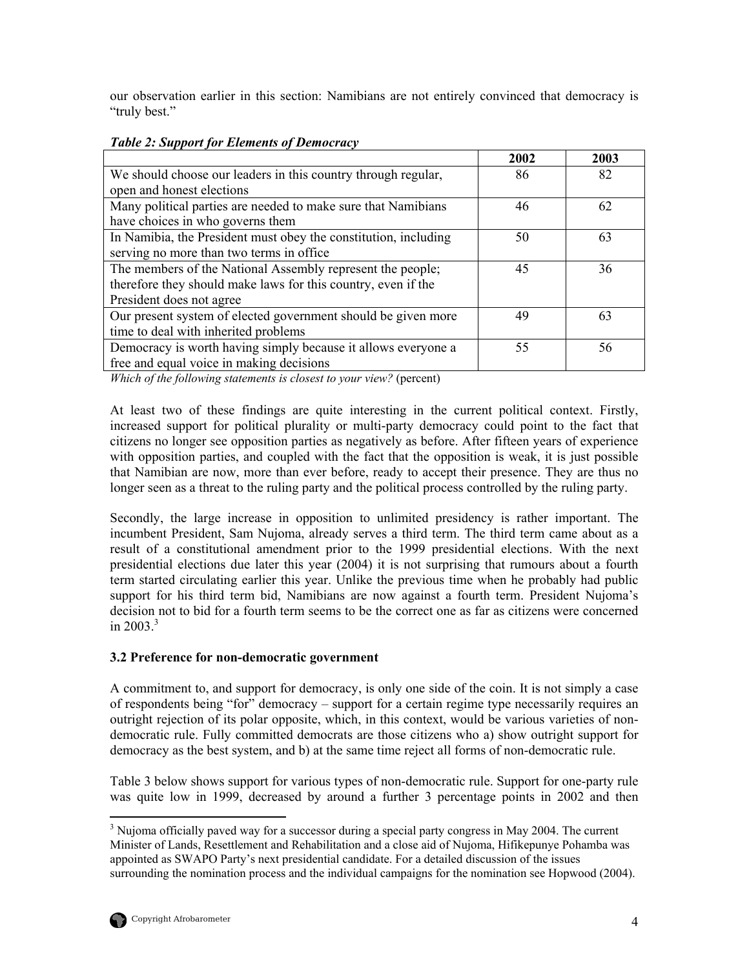<span id="page-13-0"></span>our observation earlier in this section: Namibians are not entirely convinced that democracy is "truly best."

|                                                                 | 2002 | 2003 |
|-----------------------------------------------------------------|------|------|
| We should choose our leaders in this country through regular,   | 86   | 82   |
| open and honest elections                                       |      |      |
| Many political parties are needed to make sure that Namibians   | 46   | 62   |
| have choices in who governs them                                |      |      |
| In Namibia, the President must obey the constitution, including | 50   | 63   |
| serving no more than two terms in office                        |      |      |
| The members of the National Assembly represent the people;      | 45   | 36   |
| therefore they should make laws for this country, even if the   |      |      |
| President does not agree                                        |      |      |
| Our present system of elected government should be given more   | 49   | 63   |
| time to deal with inherited problems                            |      |      |
| Democracy is worth having simply because it allows everyone a   | 55   | 56   |
| free and equal voice in making decisions                        |      |      |

#### *Table 2: Support for Elements of Democracy*

*Which of the following statements is closest to your view?* (percent)

At least two of these findings are quite interesting in the current political context. Firstly, increased support for political plurality or multi-party democracy could point to the fact that citizens no longer see opposition parties as negatively as before. After fifteen years of experience with opposition parties, and coupled with the fact that the opposition is weak, it is just possible that Namibian are now, more than ever before, ready to accept their presence. They are thus no longer seen as a threat to the ruling party and the political process controlled by the ruling party.

Secondly, the large increase in opposition to unlimited presidency is rather important. The incumbent President, Sam Nujoma, already serves a third term. The third term came about as a result of a constitutional amendment prior to the 1999 presidential elections. With the next presidential elections due later this year (2004) it is not surprising that rumours about a fourth term started circulating earlier this year. Unlike the previous time when he probably had public support for his third term bid, Namibians are now against a fourth term. President Nujoma's decision not to bid for a fourth term seems to be the correct one as far as citizens were concerned in  $2003.3$  $2003.3$ 

#### **3.2 Preference for non-democratic government**

A commitment to, and support for democracy, is only one side of the coin. It is not simply a case of respondents being "for" democracy – support for a certain regime type necessarily requires an outright rejection of its polar opposite, which, in this context, would be various varieties of nondemocratic rule. Fully committed democrats are those citizens who a) show outright support for democracy as the best system, and b) at the same time reject all forms of non-democratic rule.

Table 3 below shows support for various types of non-democratic rule. Support for one-party rule was quite low in 1999, decreased by around a further 3 percentage points in 2002 and then

<span id="page-13-1"></span>3 <sup>3</sup> Nuioma officially paved way for a successor during a special party congress in May 2004. The current Minister of Lands, Resettlement and Rehabilitation and a close aid of Nujoma, Hifikepunye Pohamba was appointed as SWAPO Party's next presidential candidate. For a detailed discussion of the issues surrounding the nomination process and the individual campaigns for the nomination see Hopwood (2004).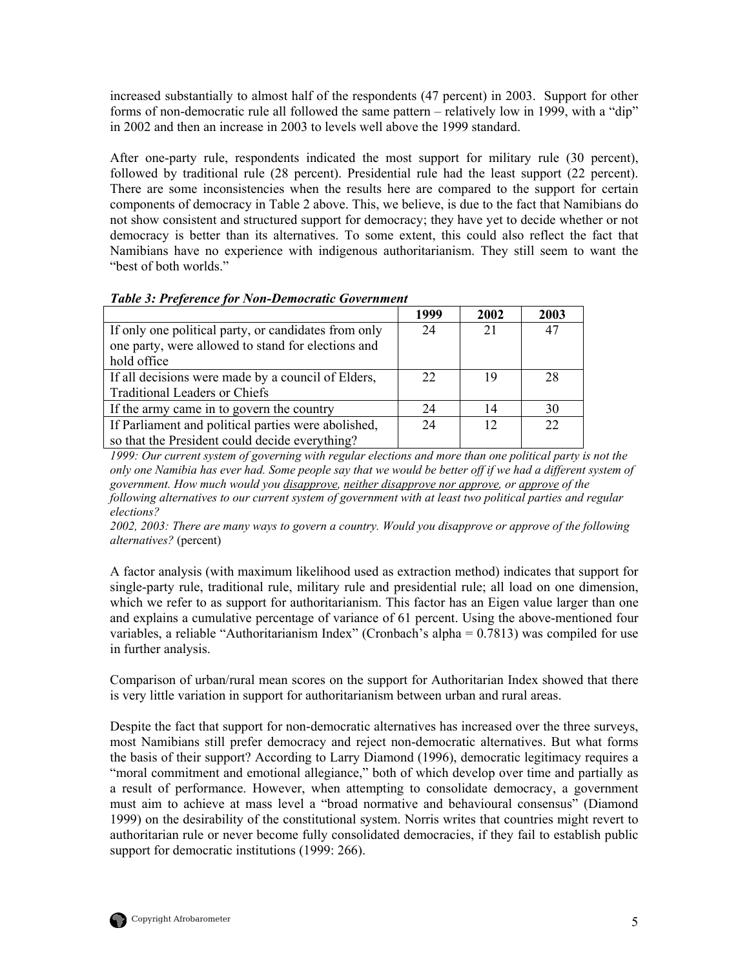<span id="page-14-0"></span>increased substantially to almost half of the respondents (47 percent) in 2003. Support for other forms of non-democratic rule all followed the same pattern – relatively low in 1999, with a "dip" in 2002 and then an increase in 2003 to levels well above the 1999 standard.

After one-party rule, respondents indicated the most support for military rule (30 percent), followed by traditional rule (28 percent). Presidential rule had the least support (22 percent). There are some inconsistencies when the results here are compared to the support for certain components of democracy in Table 2 above. This, we believe, is due to the fact that Namibians do not show consistent and structured support for democracy; they have yet to decide whether or not democracy is better than its alternatives. To some extent, this could also reflect the fact that Namibians have no experience with indigenous authoritarianism. They still seem to want the "best of both worlds."

|                                                      | 1999 | 2002 | 2003 |
|------------------------------------------------------|------|------|------|
| If only one political party, or candidates from only | 24   | 21   | 47   |
| one party, were allowed to stand for elections and   |      |      |      |
| hold office                                          |      |      |      |
| If all decisions were made by a council of Elders,   | 22   | 19   | 28   |
| <b>Traditional Leaders or Chiefs</b>                 |      |      |      |
| If the army came in to govern the country            | 24   | 14   | 30   |
| If Parliament and political parties were abolished,  | 24   | 12   | 22   |
| so that the President could decide everything?       |      |      |      |

#### *Table 3: Preference for Non-Democratic Government*

*1999: Our current system of governing with regular elections and more than one political party is not the only one Namibia has ever had. Some people say that we would be better off if we had a different system of government. How much would you disapprove, neither disapprove nor approve, or approve of the following alternatives to our current system of government with at least two political parties and regular elections?* 

*2002, 2003: There are many ways to govern a country. Would you disapprove or approve of the following alternatives?* (percent)

A factor analysis (with maximum likelihood used as extraction method) indicates that support for single-party rule, traditional rule, military rule and presidential rule; all load on one dimension, which we refer to as support for authoritarianism. This factor has an Eigen value larger than one and explains a cumulative percentage of variance of 61 percent. Using the above-mentioned four variables, a reliable "Authoritarianism Index" (Cronbach's alpha = 0.7813) was compiled for use in further analysis.

Comparison of urban/rural mean scores on the support for Authoritarian Index showed that there is very little variation in support for authoritarianism between urban and rural areas.

Despite the fact that support for non-democratic alternatives has increased over the three surveys, most Namibians still prefer democracy and reject non-democratic alternatives. But what forms the basis of their support? According to Larry Diamond (1996), democratic legitimacy requires a "moral commitment and emotional allegiance," both of which develop over time and partially as a result of performance. However, when attempting to consolidate democracy, a government must aim to achieve at mass level a "broad normative and behavioural consensus" (Diamond 1999) on the desirability of the constitutional system. Norris writes that countries might revert to authoritarian rule or never become fully consolidated democracies, if they fail to establish public support for democratic institutions (1999: 266).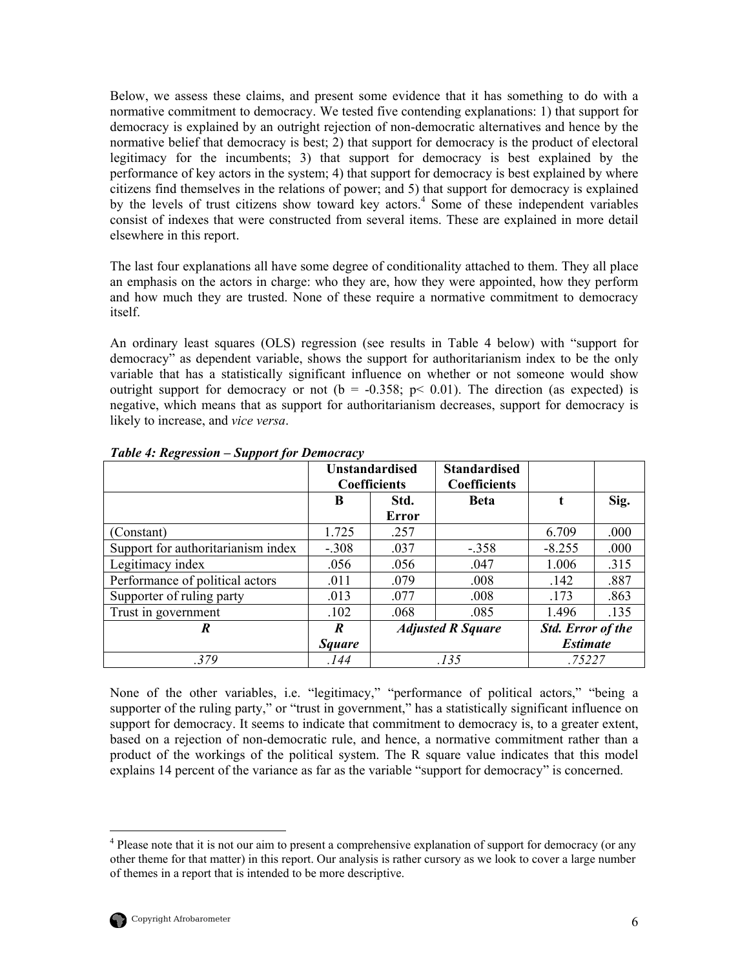<span id="page-15-0"></span>Below, we assess these claims, and present some evidence that it has something to do with a normative commitment to democracy. We tested five contending explanations: 1) that support for democracy is explained by an outright rejection of non-democratic alternatives and hence by the normative belief that democracy is best; 2) that support for democracy is the product of electoral legitimacy for the incumbents; 3) that support for democracy is best explained by the performance of key actors in the system; 4) that support for democracy is best explained by where citizens find themselves in the relations of power; and 5) that support for democracy is explained by the levels of trust citizens show toward key actors.<sup>[4](#page-15-1)</sup> Some of these independent variables consist of indexes that were constructed from several items. These are explained in more detail elsewhere in this report.

The last four explanations all have some degree of conditionality attached to them. They all place an emphasis on the actors in charge: who they are, how they were appointed, how they perform and how much they are trusted. None of these require a normative commitment to democracy itself.

An ordinary least squares (OLS) regression (see results in Table 4 below) with "support for democracy" as dependent variable, shows the support for authoritarianism index to be the only variable that has a statistically significant influence on whether or not someone would show outright support for democracy or not ( $b = -0.358$ ;  $p < 0.01$ ). The direction (as expected) is negative, which means that as support for authoritarianism decreases, support for democracy is likely to increase, and *vice versa*.

|                                    | <b>Unstandardised</b> |                     | <b>Standardised</b>      |                          |      |
|------------------------------------|-----------------------|---------------------|--------------------------|--------------------------|------|
|                                    |                       | <b>Coefficients</b> | <b>Coefficients</b>      |                          |      |
|                                    | B                     | Std.                | <b>Beta</b>              |                          | Sig. |
|                                    |                       | <b>Error</b>        |                          |                          |      |
| (Constant)                         | 1.725                 | .257                |                          | 6.709                    | .000 |
| Support for authoritarianism index | $-.308$               | .037                | $-.358$                  | $-8.255$                 | .000 |
| Legitimacy index                   | .056                  | .056                | .047                     | 1.006                    | .315 |
| Performance of political actors    | .011                  | .079                | .008                     | .142                     | .887 |
| Supporter of ruling party          | .013                  | .077                | .008                     | .173                     | .863 |
| Trust in government                | .102                  | .068                | .085                     | 1.496                    | .135 |
| R                                  | R                     |                     | <b>Adjusted R Square</b> | <b>Std.</b> Error of the |      |
|                                    | <b>Square</b>         |                     |                          | <b>Estimate</b>          |      |
| .379                               | .144                  | .135                |                          | .75227                   |      |

*Table 4: Regression – Support for Democracy* 

None of the other variables, i.e. "legitimacy," "performance of political actors," "being a supporter of the ruling party," or "trust in government," has a statistically significant influence on support for democracy. It seems to indicate that commitment to democracy is, to a greater extent, based on a rejection of non-democratic rule, and hence, a normative commitment rather than a product of the workings of the political system. The R square value indicates that this model explains 14 percent of the variance as far as the variable "support for democracy" is concerned.

<span id="page-15-1"></span> $\frac{1}{4}$ <sup>4</sup> Please note that it is not our aim to present a comprehensive explanation of support for democracy (or any other theme for that matter) in this report. Our analysis is rather cursory as we look to cover a large number of themes in a report that is intended to be more descriptive.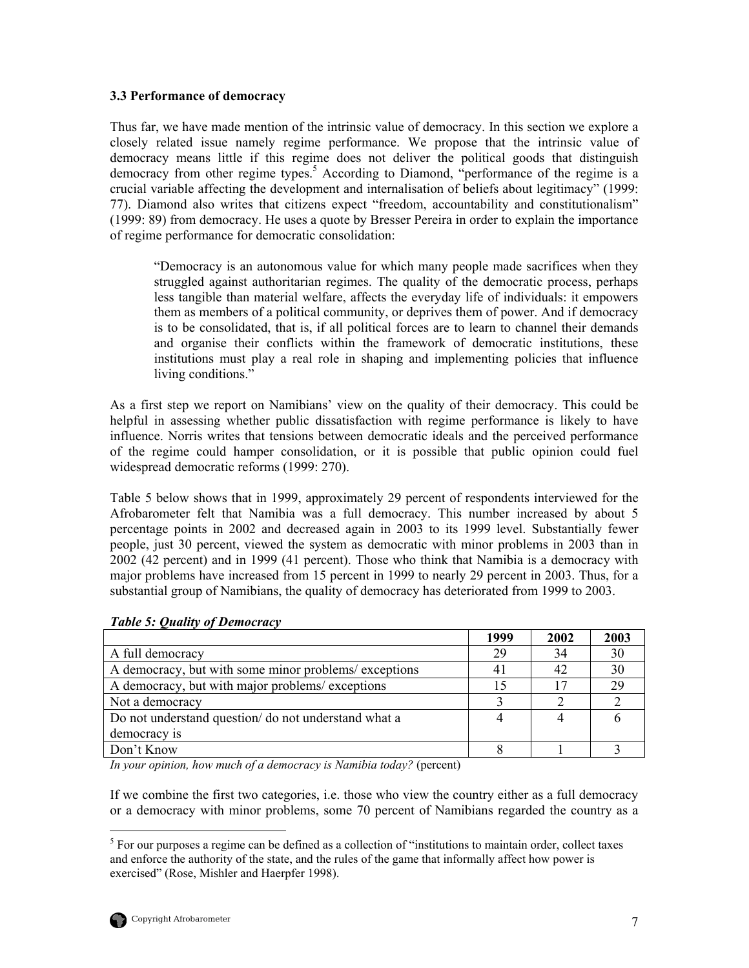#### <span id="page-16-0"></span>**3.3 Performance of democracy**

Thus far, we have made mention of the intrinsic value of democracy. In this section we explore a closely related issue namely regime performance. We propose that the intrinsic value of democracy means little if this regime does not deliver the political goods that distinguish democracyfrom other regime types.<sup>5</sup> According to Diamond, "performance of the regime is a crucial variable affecting the development and internalisation of beliefs about legitimacy" (1999: 77). Diamond also writes that citizens expect "freedom, accountability and constitutionalism" (1999: 89) from democracy. He uses a quote by Bresser Pereira in order to explain the importance of regime performance for democratic consolidation:

"Democracy is an autonomous value for which many people made sacrifices when they struggled against authoritarian regimes. The quality of the democratic process, perhaps less tangible than material welfare, affects the everyday life of individuals: it empowers them as members of a political community, or deprives them of power. And if democracy is to be consolidated, that is, if all political forces are to learn to channel their demands and organise their conflicts within the framework of democratic institutions, these institutions must play a real role in shaping and implementing policies that influence living conditions."

As a first step we report on Namibians' view on the quality of their democracy. This could be helpful in assessing whether public dissatisfaction with regime performance is likely to have influence. Norris writes that tensions between democratic ideals and the perceived performance of the regime could hamper consolidation, or it is possible that public opinion could fuel widespread democratic reforms (1999: 270).

Table 5 below shows that in 1999, approximately 29 percent of respondents interviewed for the Afrobarometer felt that Namibia was a full democracy. This number increased by about 5 percentage points in 2002 and decreased again in 2003 to its 1999 level. Substantially fewer people, just 30 percent, viewed the system as democratic with minor problems in 2003 than in 2002 (42 percent) and in 1999 (41 percent). Those who think that Namibia is a democracy with major problems have increased from 15 percent in 1999 to nearly 29 percent in 2003. Thus, for a substantial group of Namibians, the quality of democracy has deteriorated from 1999 to 2003.

|                                                       | 1999 | 2002 | 2003 |
|-------------------------------------------------------|------|------|------|
| A full democracy                                      | 29   | 34   | 30   |
| A democracy, but with some minor problems/ exceptions | 41   | 42   | 30   |
| A democracy, but with major problems/ exceptions      |      |      | 29   |
| Not a democracy                                       |      |      |      |
| Do not understand question/do not understand what a   |      |      |      |
| democracy is                                          |      |      |      |
| Don't Know                                            |      |      |      |

#### *Table 5: Quality of Democracy*

*In your opinion, how much of a democracy is Namibia today?* (percent)

If we combine the first two categories, i.e. those who view the country either as a full democracy or a democracy with minor problems, some 70 percent of Namibians regarded the country as a

<span id="page-16-1"></span> $\frac{1}{5}$  $5$  For our purposes a regime can be defined as a collection of "institutions to maintain order, collect taxes and enforce the authority of the state, and the rules of the game that informally affect how power is exercised" (Rose, Mishler and Haerpfer 1998).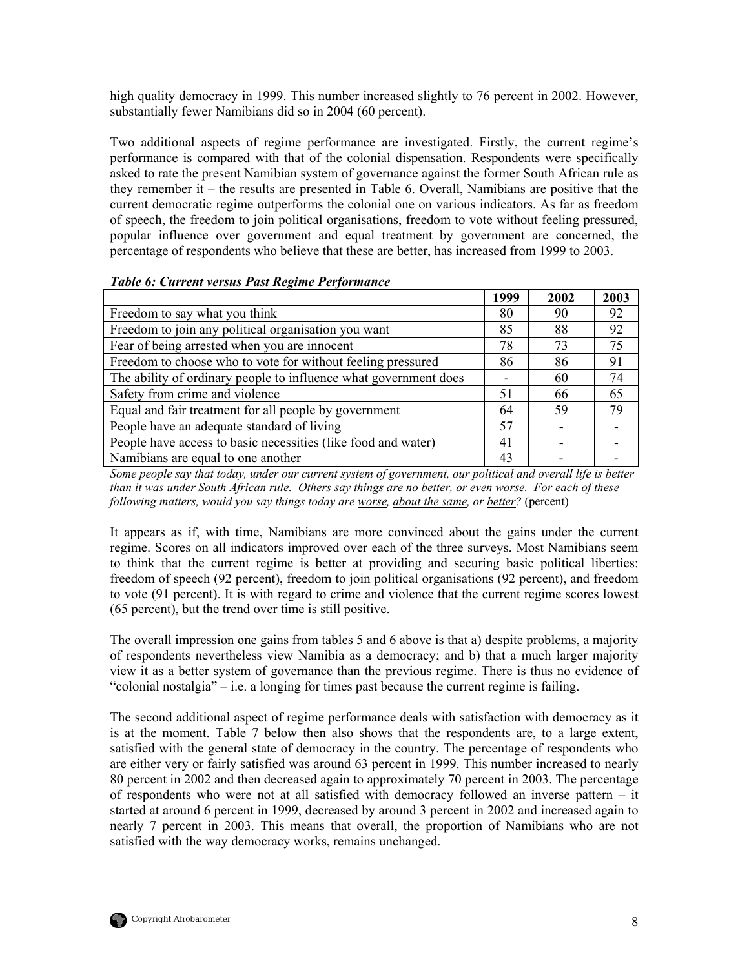<span id="page-17-0"></span>high quality democracy in 1999. This number increased slightly to 76 percent in 2002. However, substantially fewer Namibians did so in 2004 (60 percent).

Two additional aspects of regime performance are investigated. Firstly, the current regime's performance is compared with that of the colonial dispensation. Respondents were specifically asked to rate the present Namibian system of governance against the former South African rule as they remember it – the results are presented in Table 6. Overall, Namibians are positive that the current democratic regime outperforms the colonial one on various indicators. As far as freedom of speech, the freedom to join political organisations, freedom to vote without feeling pressured, popular influence over government and equal treatment by government are concerned, the percentage of respondents who believe that these are better, has increased from 1999 to 2003.

|                                                                  | 1999 | 2002 | 2003 |
|------------------------------------------------------------------|------|------|------|
| Freedom to say what you think                                    | 80   | 90   | 92   |
| Freedom to join any political organisation you want              | 85   | 88   | 92   |
| Fear of being arrested when you are innocent                     | 78   | 73   | 75   |
| Freedom to choose who to vote for without feeling pressured      | 86   | 86   | 91   |
| The ability of ordinary people to influence what government does |      | 60   | 74   |
| Safety from crime and violence                                   | 51   | 66   | 65   |
| Equal and fair treatment for all people by government            | 64   | 59   | 79   |
| People have an adequate standard of living                       | 57   |      |      |
| People have access to basic necessities (like food and water)    | 41   |      |      |
| Namibians are equal to one another                               | 43   |      |      |

*Table 6: Current versus Past Regime Performance* 

*Some people say that today, under our current system of government, our political and overall life is better than it was under South African rule. Others say things are no better, or even worse. For each of these following matters, would you say things today are worse, about the same, or better?* (percent)

It appears as if, with time, Namibians are more convinced about the gains under the current regime. Scores on all indicators improved over each of the three surveys. Most Namibians seem to think that the current regime is better at providing and securing basic political liberties: freedom of speech (92 percent), freedom to join political organisations (92 percent), and freedom to vote (91 percent). It is with regard to crime and violence that the current regime scores lowest (65 percent), but the trend over time is still positive.

The overall impression one gains from tables 5 and 6 above is that a) despite problems, a majority of respondents nevertheless view Namibia as a democracy; and b) that a much larger majority view it as a better system of governance than the previous regime. There is thus no evidence of "colonial nostalgia" – i.e. a longing for times past because the current regime is failing.

The second additional aspect of regime performance deals with satisfaction with democracy as it is at the moment. Table 7 below then also shows that the respondents are, to a large extent, satisfied with the general state of democracy in the country. The percentage of respondents who are either very or fairly satisfied was around 63 percent in 1999. This number increased to nearly 80 percent in 2002 and then decreased again to approximately 70 percent in 2003. The percentage of respondents who were not at all satisfied with democracy followed an inverse pattern – it started at around 6 percent in 1999, decreased by around 3 percent in 2002 and increased again to nearly 7 percent in 2003. This means that overall, the proportion of Namibians who are not satisfied with the way democracy works, remains unchanged.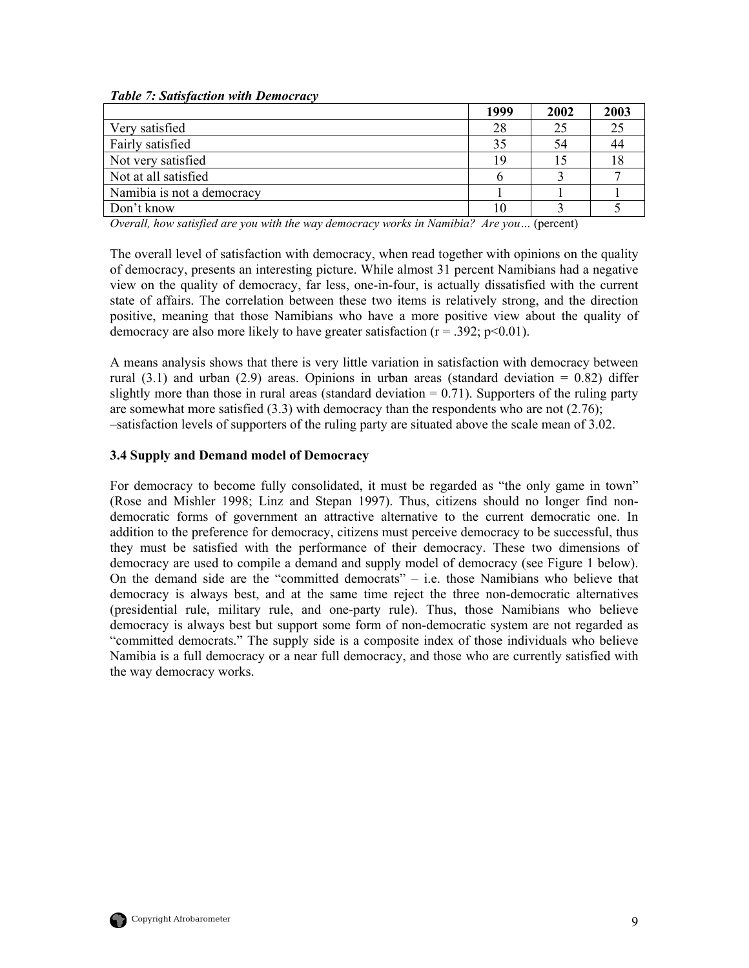<span id="page-18-0"></span>

|  |  |  |  |  | <b>Table 7: Satisfaction with Democracy</b> |
|--|--|--|--|--|---------------------------------------------|
|--|--|--|--|--|---------------------------------------------|

|                            | 1999 | 2002 | 2003 |
|----------------------------|------|------|------|
| Very satisfied             | 28   | 25   | 25   |
| Fairly satisfied           | 35   | 54   | 44   |
| Not very satisfied         | 19   |      | 18   |
| Not at all satisfied       | n    |      |      |
| Namibia is not a democracy |      |      |      |
| Don't know                 |      |      |      |

*Overall, how satisfied are you with the way democracy works in Namibia? Are you…* (percent)

The overall level of satisfaction with democracy, when read together with opinions on the quality of democracy, presents an interesting picture. While almost 31 percent Namibians had a negative view on the quality of democracy, far less, one-in-four, is actually dissatisfied with the current state of affairs. The correlation between these two items is relatively strong, and the direction positive, meaning that those Namibians who have a more positive view about the quality of democracy are also more likely to have greater satisfaction  $(r = .392; p < 0.01)$ .

A means analysis shows that there is very little variation in satisfaction with democracy between rural  $(3.1)$  and urban  $(2.9)$  areas. Opinions in urban areas (standard deviation = 0.82) differ slightly more than those in rural areas (standard deviation  $= 0.71$ ). Supporters of the ruling party are somewhat more satisfied  $(3.3)$  with democracy than the respondents who are not  $(2.76)$ ; –satisfaction levels of supporters of the ruling party are situated above the scale mean of 3.02.

#### **3.4 Supply and Demand model of Democracy**

For democracy to become fully consolidated, it must be regarded as "the only game in town" (Rose and Mishler 1998; Linz and Stepan 1997). Thus, citizens should no longer find nondemocratic forms of government an attractive alternative to the current democratic one. In addition to the preference for democracy, citizens must perceive democracy to be successful, thus they must be satisfied with the performance of their democracy. These two dimensions of democracy are used to compile a demand and supply model of democracy (see Figure 1 below). On the demand side are the "committed democrats" – i.e. those Namibians who believe that democracy is always best, and at the same time reject the three non-democratic alternatives (presidential rule, military rule, and one-party rule). Thus, those Namibians who believe democracy is always best but support some form of non-democratic system are not regarded as "committed democrats." The supply side is a composite index of those individuals who believe Namibia is a full democracy or a near full democracy, and those who are currently satisfied with the way democracy works.

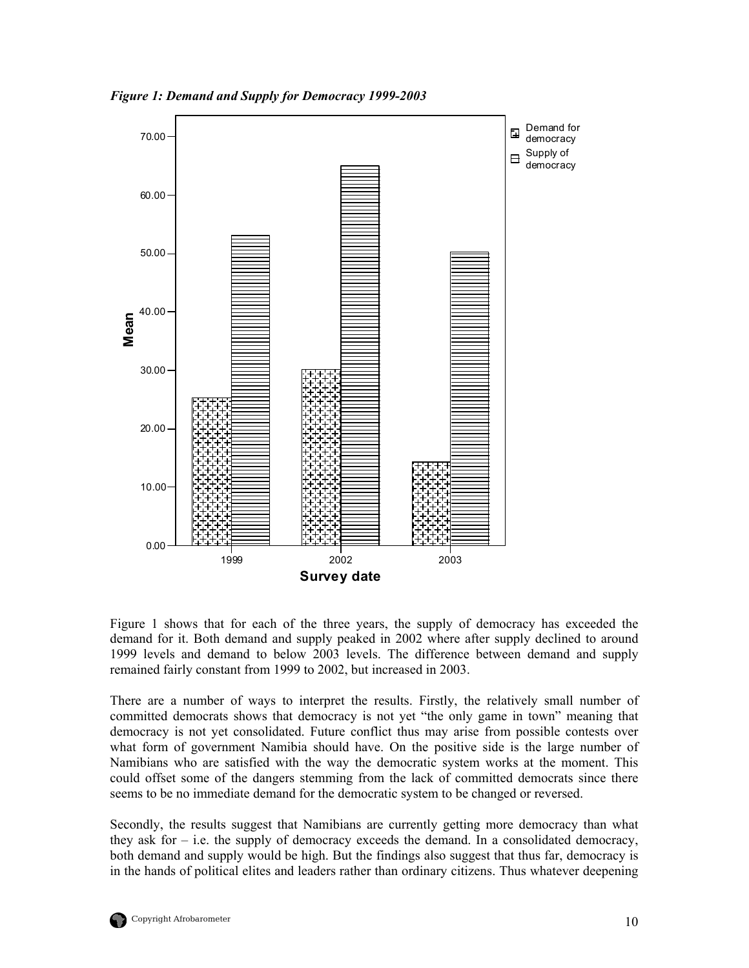<span id="page-19-0"></span>*Figure 1: Demand and Supply for Democracy 1999-2003* 



Figure 1 shows that for each of the three years, the supply of democracy has exceeded the demand for it. Both demand and supply peaked in 2002 where after supply declined to around 1999 levels and demand to below 2003 levels. The difference between demand and supply remained fairly constant from 1999 to 2002, but increased in 2003.

There are a number of ways to interpret the results. Firstly, the relatively small number of committed democrats shows that democracy is not yet "the only game in town" meaning that democracy is not yet consolidated. Future conflict thus may arise from possible contests over what form of government Namibia should have. On the positive side is the large number of Namibians who are satisfied with the way the democratic system works at the moment. This could offset some of the dangers stemming from the lack of committed democrats since there seems to be no immediate demand for the democratic system to be changed or reversed.

Secondly, the results suggest that Namibians are currently getting more democracy than what they ask for  $-$  i.e. the supply of democracy exceeds the demand. In a consolidated democracy, both demand and supply would be high. But the findings also suggest that thus far, democracy is in the hands of political elites and leaders rather than ordinary citizens. Thus whatever deepening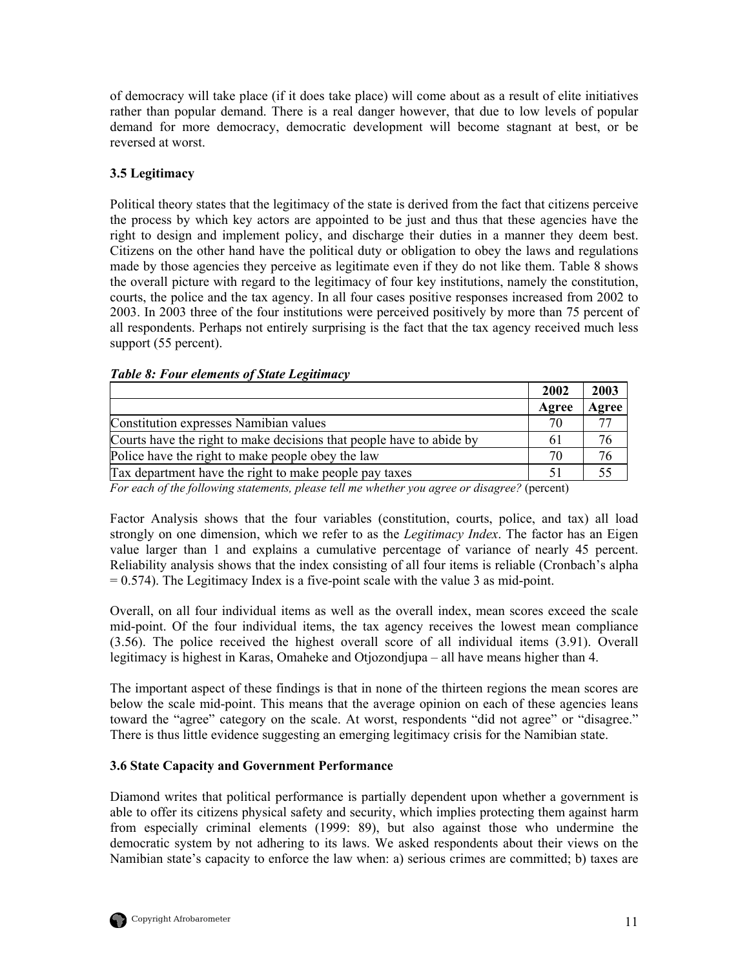<span id="page-20-0"></span>of democracy will take place (if it does take place) will come about as a result of elite initiatives rather than popular demand. There is a real danger however, that due to low levels of popular demand for more democracy, democratic development will become stagnant at best, or be reversed at worst.

## **3.5 Legitimacy**

Political theory states that the legitimacy of the state is derived from the fact that citizens perceive the process by which key actors are appointed to be just and thus that these agencies have the right to design and implement policy, and discharge their duties in a manner they deem best. Citizens on the other hand have the political duty or obligation to obey the laws and regulations made by those agencies they perceive as legitimate even if they do not like them. Table 8 shows the overall picture with regard to the legitimacy of four key institutions, namely the constitution, courts, the police and the tax agency. In all four cases positive responses increased from 2002 to 2003. In 2003 three of the four institutions were perceived positively by more than 75 percent of all respondents. Perhaps not entirely surprising is the fact that the tax agency received much less support (55 percent).

|  |  |  |  | <b>Table 8: Four elements of State Legitimacy</b> |
|--|--|--|--|---------------------------------------------------|
|--|--|--|--|---------------------------------------------------|

|                                                                                                                                                                                                                                                                                                                                                                                                                                                                                                      | 2002          | 2003  |
|------------------------------------------------------------------------------------------------------------------------------------------------------------------------------------------------------------------------------------------------------------------------------------------------------------------------------------------------------------------------------------------------------------------------------------------------------------------------------------------------------|---------------|-------|
|                                                                                                                                                                                                                                                                                                                                                                                                                                                                                                      | Agree         | Agree |
| Constitution expresses Namibian values                                                                                                                                                                                                                                                                                                                                                                                                                                                               | 70            |       |
| Courts have the right to make decisions that people have to abide by                                                                                                                                                                                                                                                                                                                                                                                                                                 | 61            | 76    |
| Police have the right to make people obey the law                                                                                                                                                                                                                                                                                                                                                                                                                                                    | 70            | 76    |
| Tax department have the right to make people pay taxes                                                                                                                                                                                                                                                                                                                                                                                                                                               | 51            |       |
| $\blacksquare$ $\blacksquare$ $\blacksquare$ $\blacksquare$ $\blacksquare$ $\blacksquare$ $\blacksquare$ $\blacksquare$ $\blacksquare$ $\blacksquare$ $\blacksquare$ $\blacksquare$ $\blacksquare$ $\blacksquare$ $\blacksquare$ $\blacksquare$ $\blacksquare$ $\blacksquare$ $\blacksquare$ $\blacksquare$ $\blacksquare$ $\blacksquare$ $\blacksquare$ $\blacksquare$ $\blacksquare$ $\blacksquare$ $\blacksquare$ $\blacksquare$ $\blacksquare$ $\blacksquare$ $\blacksquare$ $\blacks$<br>$\sim$ | $\sim$ $\sim$ |       |

*For each of the following statements, please tell me whether you agree or disagree?* (percent)

Factor Analysis shows that the four variables (constitution, courts, police, and tax) all load strongly on one dimension, which we refer to as the *Legitimacy Index*. The factor has an Eigen value larger than 1 and explains a cumulative percentage of variance of nearly 45 percent. Reliability analysis shows that the index consisting of all four items is reliable (Cronbach's alpha  $= 0.574$ ). The Legitimacy Index is a five-point scale with the value 3 as mid-point.

Overall, on all four individual items as well as the overall index, mean scores exceed the scale mid-point. Of the four individual items, the tax agency receives the lowest mean compliance (3.56). The police received the highest overall score of all individual items (3.91). Overall legitimacy is highest in Karas, Omaheke and Otjozondjupa – all have means higher than 4.

The important aspect of these findings is that in none of the thirteen regions the mean scores are below the scale mid-point. This means that the average opinion on each of these agencies leans toward the "agree" category on the scale. At worst, respondents "did not agree" or "disagree." There is thus little evidence suggesting an emerging legitimacy crisis for the Namibian state.

## **3.6 State Capacity and Government Performance**

Diamond writes that political performance is partially dependent upon whether a government is able to offer its citizens physical safety and security, which implies protecting them against harm from especially criminal elements (1999: 89), but also against those who undermine the democratic system by not adhering to its laws. We asked respondents about their views on the Namibian state's capacity to enforce the law when: a) serious crimes are committed; b) taxes are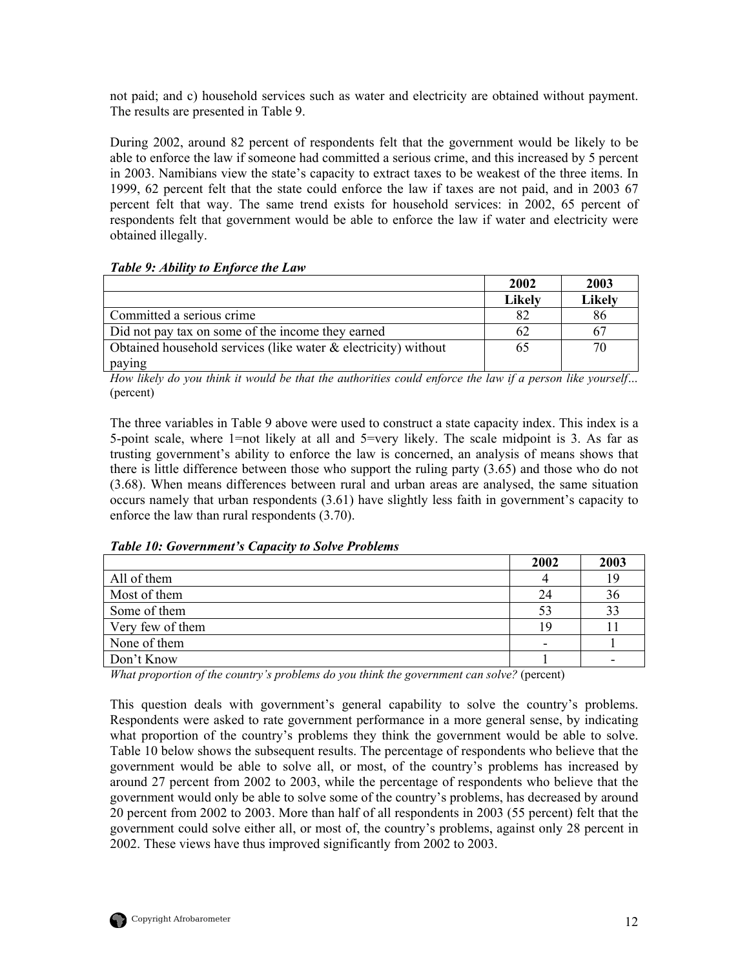<span id="page-21-0"></span>not paid; and c) household services such as water and electricity are obtained without payment. The results are presented in Table 9.

During 2002, around 82 percent of respondents felt that the government would be likely to be able to enforce the law if someone had committed a serious crime, and this increased by 5 percent in 2003. Namibians view the state's capacity to extract taxes to be weakest of the three items. In 1999, 62 percent felt that the state could enforce the law if taxes are not paid, and in 2003 67 percent felt that way. The same trend exists for household services: in 2002, 65 percent of respondents felt that government would be able to enforce the law if water and electricity were obtained illegally.

#### *Table 9: Ability to Enforce the Law*

|                                                                   | 2002          | 2003          |
|-------------------------------------------------------------------|---------------|---------------|
|                                                                   | <b>Likely</b> | <b>Likely</b> |
| Committed a serious crime                                         |               | 86            |
| Did not pay tax on some of the income they earned                 | 62            |               |
| Obtained household services (like water $\&$ electricity) without | 65            | 70            |
| paying                                                            |               |               |

*How likely do you think it would be that the authorities could enforce the law if a person like yourself…*  (percent)

The three variables in Table 9 above were used to construct a state capacity index. This index is a 5-point scale, where 1=not likely at all and 5=very likely. The scale midpoint is 3. As far as trusting government's ability to enforce the law is concerned, an analysis of means shows that there is little difference between those who support the ruling party (3.65) and those who do not (3.68). When means differences between rural and urban areas are analysed, the same situation occurs namely that urban respondents (3.61) have slightly less faith in government's capacity to enforce the law than rural respondents (3.70).

*Table 10: Government's Capacity to Solve Problems* 

|                  | 2002 | 2003 |
|------------------|------|------|
| All of them      |      | 19   |
| Most of them     | 24   | 36   |
| Some of them     | 53   | 33   |
| Very few of them | 1 Q  |      |
| None of them     |      |      |
| Don't Know       |      |      |

*What proportion of the country's problems do you think the government can solve?* (percent)

This question deals with government's general capability to solve the country's problems. Respondents were asked to rate government performance in a more general sense, by indicating what proportion of the country's problems they think the government would be able to solve. Table 10 below shows the subsequent results. The percentage of respondents who believe that the government would be able to solve all, or most, of the country's problems has increased by around 27 percent from 2002 to 2003, while the percentage of respondents who believe that the government would only be able to solve some of the country's problems, has decreased by around 20 percent from 2002 to 2003. More than half of all respondents in 2003 (55 percent) felt that the government could solve either all, or most of, the country's problems, against only 28 percent in 2002. These views have thus improved significantly from 2002 to 2003.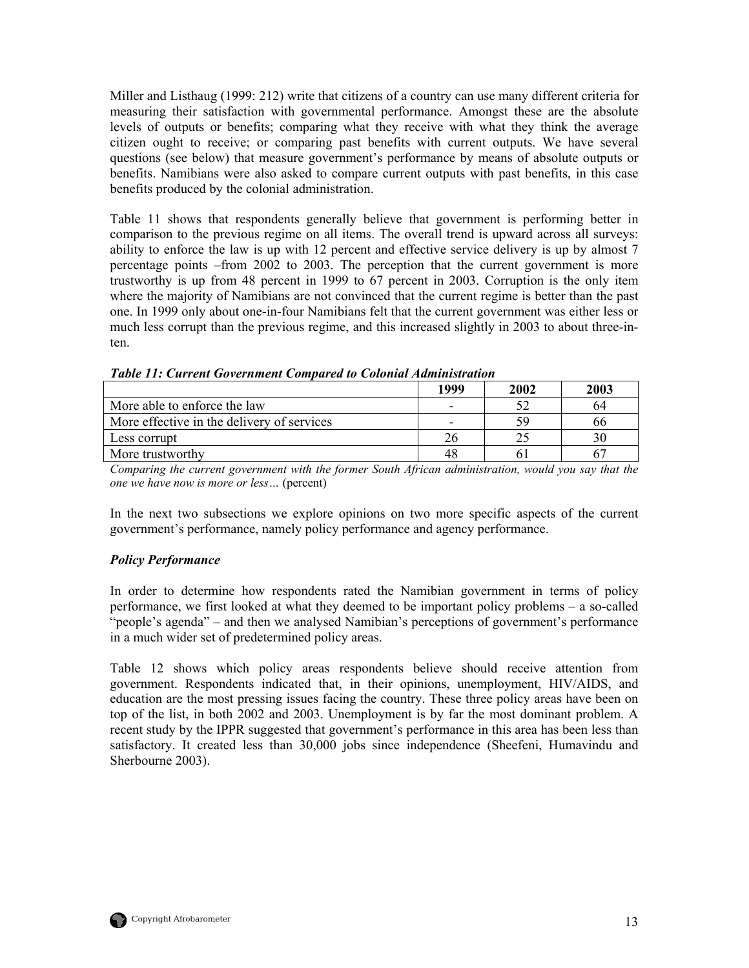<span id="page-22-0"></span>Miller and Listhaug (1999: 212) write that citizens of a country can use many different criteria for measuring their satisfaction with governmental performance. Amongst these are the absolute levels of outputs or benefits; comparing what they receive with what they think the average citizen ought to receive; or comparing past benefits with current outputs. We have several questions (see below) that measure government's performance by means of absolute outputs or benefits. Namibians were also asked to compare current outputs with past benefits, in this case benefits produced by the colonial administration.

Table 11 shows that respondents generally believe that government is performing better in comparison to the previous regime on all items. The overall trend is upward across all surveys: ability to enforce the law is up with 12 percent and effective service delivery is up by almost 7 percentage points –from 2002 to 2003. The perception that the current government is more trustworthy is up from 48 percent in 1999 to 67 percent in 2003. Corruption is the only item where the majority of Namibians are not convinced that the current regime is better than the past one. In 1999 only about one-in-four Namibians felt that the current government was either less or much less corrupt than the previous regime, and this increased slightly in 2003 to about three-inten.

|                                            | 1999                     | 2002 | 2003 |
|--------------------------------------------|--------------------------|------|------|
| More able to enforce the law               | $\overline{\phantom{0}}$ |      | 64   |
| More effective in the delivery of services |                          | 59   | 66   |
| Less corrupt                               | 26                       |      | 30   |
| More trustworthy                           | 48                       |      |      |

*Table 11: Current Government Compared to Colonial Administration*

*Comparing the current government with the former South African administration, would you say that the one we have now is more or less…* (percent)

In the next two subsections we explore opinions on two more specific aspects of the current government's performance, namely policy performance and agency performance.

## *Policy Performance*

In order to determine how respondents rated the Namibian government in terms of policy performance, we first looked at what they deemed to be important policy problems – a so-called "people's agenda" – and then we analysed Namibian's perceptions of government's performance in a much wider set of predetermined policy areas.

Table 12 shows which policy areas respondents believe should receive attention from government. Respondents indicated that, in their opinions, unemployment, HIV/AIDS, and education are the most pressing issues facing the country. These three policy areas have been on top of the list, in both 2002 and 2003. Unemployment is by far the most dominant problem. A recent study by the IPPR suggested that government's performance in this area has been less than satisfactory. It created less than 30,000 jobs since independence (Sheefeni, Humavindu and Sherbourne 2003).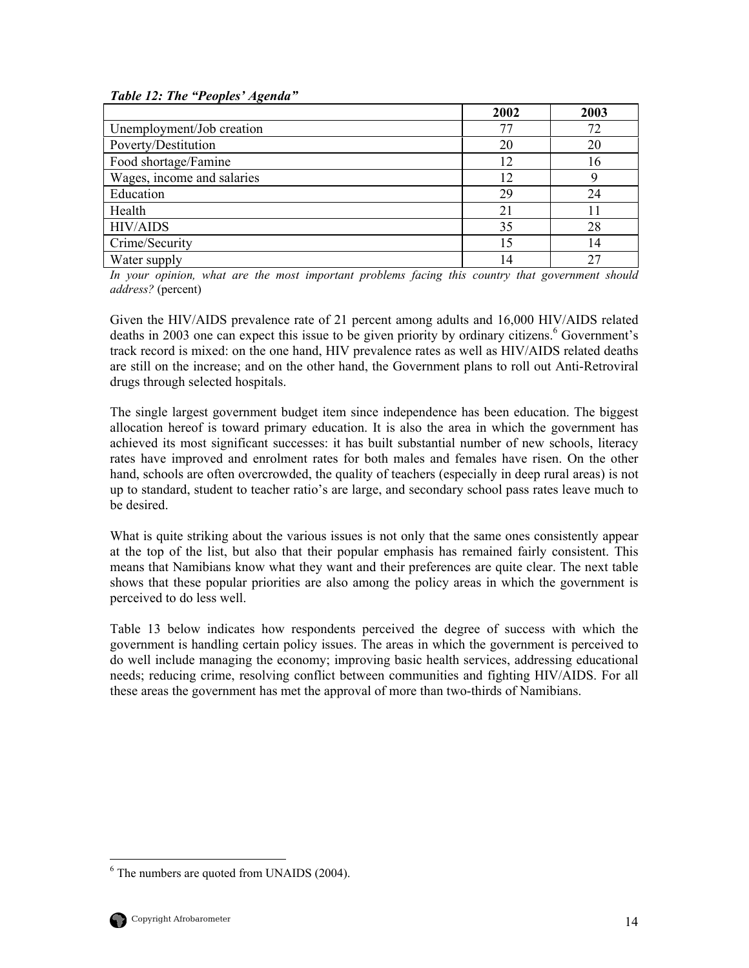#### <span id="page-23-0"></span>*Table 12: The "Peoples' Agenda"*

|                            | 2002 | 2003 |
|----------------------------|------|------|
| Unemployment/Job creation  | 77   | 72   |
| Poverty/Destitution        | 20   | 20   |
| Food shortage/Famine       | 12   | 16   |
| Wages, income and salaries | 12   |      |
| Education                  | 29   | 24   |
| Health                     | 21   |      |
| <b>HIV/AIDS</b>            | 35   | 28   |
| Crime/Security             | 15   | 14   |
| Water supply               | 14   | 27   |

*In your opinion, what are the most important problems facing this country that government should address?* (percent)

Given the HIV/AIDS prevalence rate of 21 percent among adults and 16,000 HIV/AIDS related deaths in 2003 one can expect this issue to be given priority by ordinary citizens.<sup>[6](#page-23-1)</sup> Government's track record is mixed: on the one hand, HIV prevalence rates as well as HIV/AIDS related deaths are still on the increase; and on the other hand, the Government plans to roll out Anti-Retroviral drugs through selected hospitals.

The single largest government budget item since independence has been education. The biggest allocation hereof is toward primary education. It is also the area in which the government has achieved its most significant successes: it has built substantial number of new schools, literacy rates have improved and enrolment rates for both males and females have risen. On the other hand, schools are often overcrowded, the quality of teachers (especially in deep rural areas) is not up to standard, student to teacher ratio's are large, and secondary school pass rates leave much to be desired.

What is quite striking about the various issues is not only that the same ones consistently appear at the top of the list, but also that their popular emphasis has remained fairly consistent. This means that Namibians know what they want and their preferences are quite clear. The next table shows that these popular priorities are also among the policy areas in which the government is perceived to do less well.

Table 13 below indicates how respondents perceived the degree of success with which the government is handling certain policy issues. The areas in which the government is perceived to do well include managing the economy; improving basic health services, addressing educational needs; reducing crime, resolving conflict between communities and fighting HIV/AIDS. For all these areas the government has met the approval of more than two-thirds of Namibians.

<span id="page-23-1"></span> $\frac{1}{6}$  $6$  The numbers are quoted from UNAIDS (2004).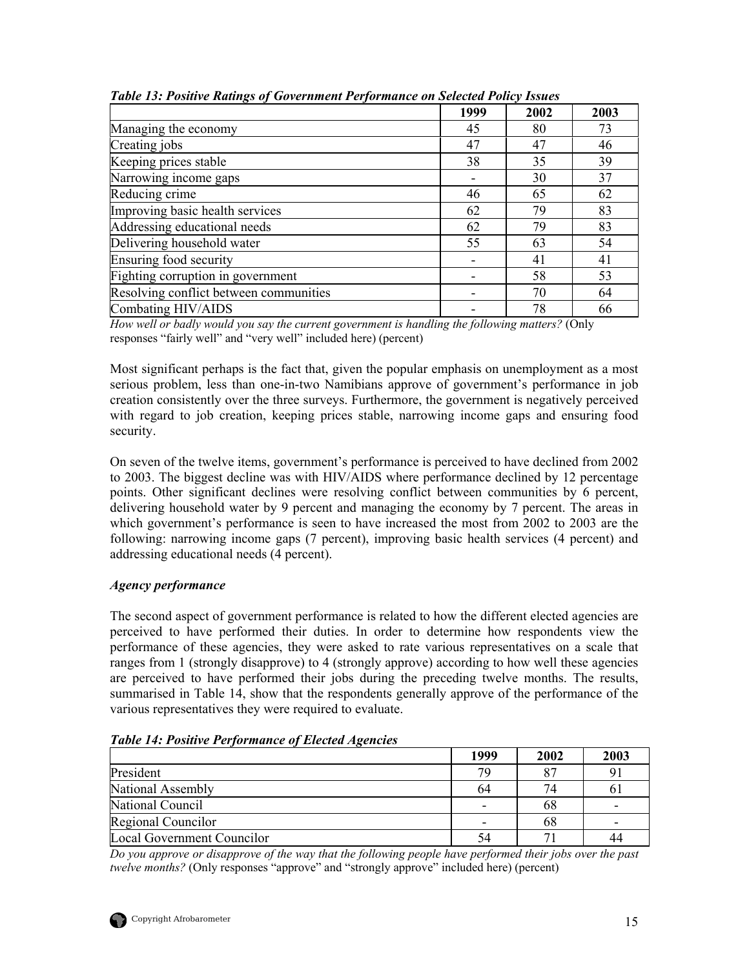|                                        | 1999 | 2002 | 2003 |
|----------------------------------------|------|------|------|
| Managing the economy                   | 45   | 80   | 73   |
| Creating jobs                          | 47   | 47   | 46   |
| Keeping prices stable                  | 38   | 35   | 39   |
| Narrowing income gaps                  |      | 30   | 37   |
| Reducing crime                         | 46   | 65   | 62   |
| Improving basic health services        | 62   | 79   | 83   |
| Addressing educational needs           | 62   | 79   | 83   |
| Delivering household water             | 55   | 63   | 54   |
| Ensuring food security                 |      | 41   | 41   |
| Fighting corruption in government      |      | 58   | 53   |
| Resolving conflict between communities |      | 70   | 64   |
| Combating HIV/AIDS                     |      | 78   | 66   |

<span id="page-24-0"></span>*Table 13: Positive Ratings of Government Performance on Selected Policy Issues* 

*How well or badly would you say the current government is handling the following matters?* (Only responses "fairly well" and "very well" included here) (percent)

Most significant perhaps is the fact that, given the popular emphasis on unemployment as a most serious problem, less than one-in-two Namibians approve of government's performance in job creation consistently over the three surveys. Furthermore, the government is negatively perceived with regard to job creation, keeping prices stable, narrowing income gaps and ensuring food security.

On seven of the twelve items, government's performance is perceived to have declined from 2002 to 2003. The biggest decline was with HIV/AIDS where performance declined by 12 percentage points. Other significant declines were resolving conflict between communities by 6 percent, delivering household water by 9 percent and managing the economy by 7 percent. The areas in which government's performance is seen to have increased the most from 2002 to 2003 are the following: narrowing income gaps (7 percent), improving basic health services (4 percent) and addressing educational needs (4 percent).

#### *Agency performance*

The second aspect of government performance is related to how the different elected agencies are perceived to have performed their duties. In order to determine how respondents view the performance of these agencies, they were asked to rate various representatives on a scale that ranges from 1 (strongly disapprove) to 4 (strongly approve) according to how well these agencies are perceived to have performed their jobs during the preceding twelve months. The results, summarised in Table 14, show that the respondents generally approve of the performance of the various representatives they were required to evaluate.

| ີ                          | 1999 | 2002 | 2003 |
|----------------------------|------|------|------|
| President                  | 79   |      |      |
| National Assembly          | 64   |      | O I  |
| National Council           |      | 68   |      |
| Regional Councilor         |      | 68   |      |
| Local Government Councilor | 54   |      | 44   |

*Table 14: Positive Performance of Elected Agencies* 

*Do you approve or disapprove of the way that the following people have performed their jobs over the past twelve months?* (Only responses "approve" and "strongly approve" included here) (percent)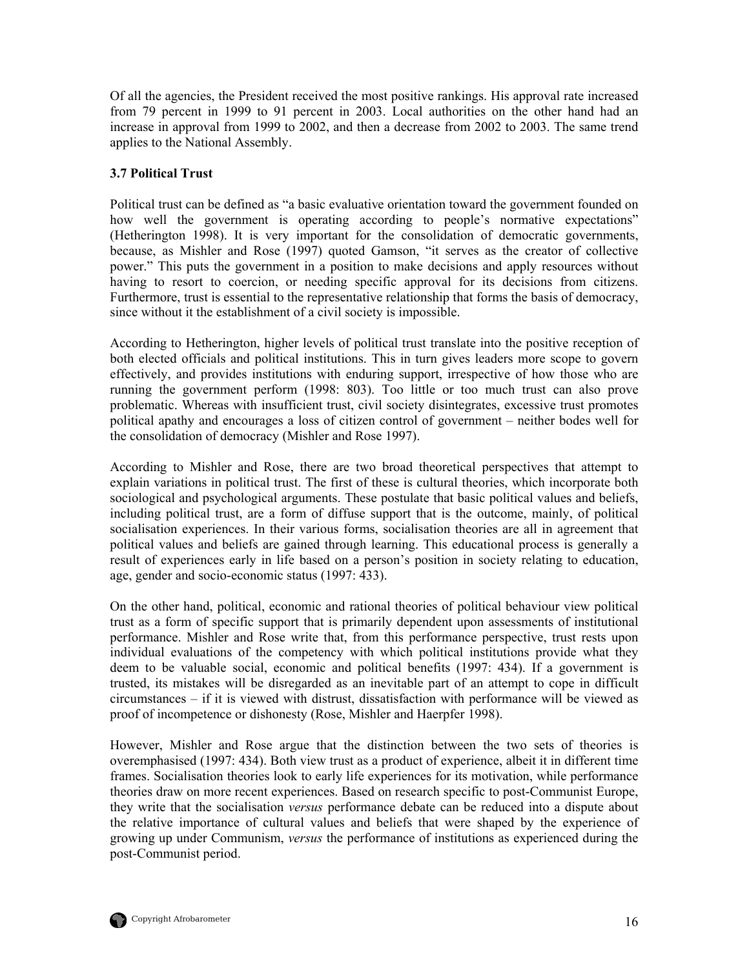<span id="page-25-0"></span>Of all the agencies, the President received the most positive rankings. His approval rate increased from 79 percent in 1999 to 91 percent in 2003. Local authorities on the other hand had an increase in approval from 1999 to 2002, and then a decrease from 2002 to 2003. The same trend applies to the National Assembly.

#### **3.7 Political Trust**

Political trust can be defined as "a basic evaluative orientation toward the government founded on how well the government is operating according to people's normative expectations" (Hetherington 1998). It is very important for the consolidation of democratic governments, because, as Mishler and Rose (1997) quoted Gamson, "it serves as the creator of collective power." This puts the government in a position to make decisions and apply resources without having to resort to coercion, or needing specific approval for its decisions from citizens. Furthermore, trust is essential to the representative relationship that forms the basis of democracy, since without it the establishment of a civil society is impossible.

According to Hetherington, higher levels of political trust translate into the positive reception of both elected officials and political institutions. This in turn gives leaders more scope to govern effectively, and provides institutions with enduring support, irrespective of how those who are running the government perform (1998: 803). Too little or too much trust can also prove problematic. Whereas with insufficient trust, civil society disintegrates, excessive trust promotes political apathy and encourages a loss of citizen control of government – neither bodes well for the consolidation of democracy (Mishler and Rose 1997).

According to Mishler and Rose, there are two broad theoretical perspectives that attempt to explain variations in political trust. The first of these is cultural theories, which incorporate both sociological and psychological arguments. These postulate that basic political values and beliefs, including political trust, are a form of diffuse support that is the outcome, mainly, of political socialisation experiences. In their various forms, socialisation theories are all in agreement that political values and beliefs are gained through learning. This educational process is generally a result of experiences early in life based on a person's position in society relating to education, age, gender and socio-economic status (1997: 433).

On the other hand, political, economic and rational theories of political behaviour view political trust as a form of specific support that is primarily dependent upon assessments of institutional performance. Mishler and Rose write that, from this performance perspective, trust rests upon individual evaluations of the competency with which political institutions provide what they deem to be valuable social, economic and political benefits (1997: 434). If a government is trusted, its mistakes will be disregarded as an inevitable part of an attempt to cope in difficult circumstances – if it is viewed with distrust, dissatisfaction with performance will be viewed as proof of incompetence or dishonesty (Rose, Mishler and Haerpfer 1998).

However, Mishler and Rose argue that the distinction between the two sets of theories is overemphasised (1997: 434). Both view trust as a product of experience, albeit it in different time frames. Socialisation theories look to early life experiences for its motivation, while performance theories draw on more recent experiences. Based on research specific to post-Communist Europe, they write that the socialisation *versus* performance debate can be reduced into a dispute about the relative importance of cultural values and beliefs that were shaped by the experience of growing up under Communism, *versus* the performance of institutions as experienced during the post-Communist period.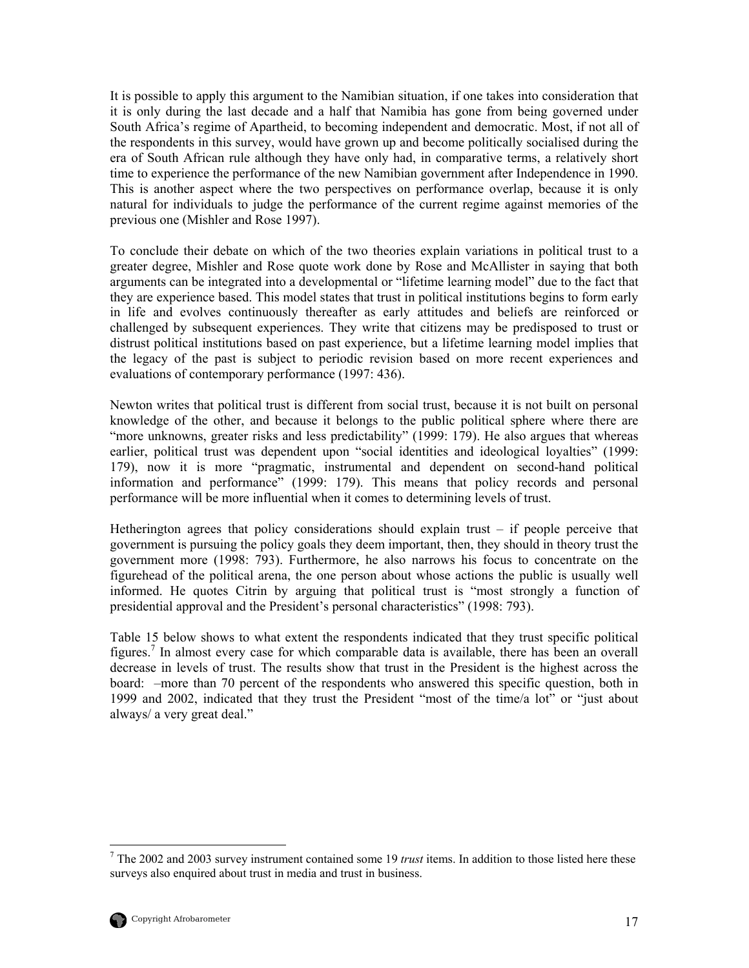It is possible to apply this argument to the Namibian situation, if one takes into consideration that it is only during the last decade and a half that Namibia has gone from being governed under South Africa's regime of Apartheid, to becoming independent and democratic. Most, if not all of the respondents in this survey, would have grown up and become politically socialised during the era of South African rule although they have only had, in comparative terms, a relatively short time to experience the performance of the new Namibian government after Independence in 1990. This is another aspect where the two perspectives on performance overlap, because it is only natural for individuals to judge the performance of the current regime against memories of the previous one (Mishler and Rose 1997).

To conclude their debate on which of the two theories explain variations in political trust to a greater degree, Mishler and Rose quote work done by Rose and McAllister in saying that both arguments can be integrated into a developmental or "lifetime learning model" due to the fact that they are experience based. This model states that trust in political institutions begins to form early in life and evolves continuously thereafter as early attitudes and beliefs are reinforced or challenged by subsequent experiences. They write that citizens may be predisposed to trust or distrust political institutions based on past experience, but a lifetime learning model implies that the legacy of the past is subject to periodic revision based on more recent experiences and evaluations of contemporary performance (1997: 436).

Newton writes that political trust is different from social trust, because it is not built on personal knowledge of the other, and because it belongs to the public political sphere where there are "more unknowns, greater risks and less predictability" (1999: 179). He also argues that whereas earlier, political trust was dependent upon "social identities and ideological loyalties" (1999: 179), now it is more "pragmatic, instrumental and dependent on second-hand political information and performance" (1999: 179). This means that policy records and personal performance will be more influential when it comes to determining levels of trust.

Hetherington agrees that policy considerations should explain trust – if people perceive that government is pursuing the policy goals they deem important, then, they should in theory trust the government more (1998: 793). Furthermore, he also narrows his focus to concentrate on the figurehead of the political arena, the one person about whose actions the public is usually well informed. He quotes Citrin by arguing that political trust is "most strongly a function of presidential approval and the President's personal characteristics" (1998: 793).

Table 15 below shows to what extent the respondents indicated that they trust specific political figures.<sup>[7](#page-26-0)</sup> In almost every case for which comparable data is available, there has been an overall decrease in levels of trust. The results show that trust in the President is the highest across the board: –more than 70 percent of the respondents who answered this specific question, both in 1999 and 2002, indicated that they trust the President "most of the time/a lot" or "just about always/ a very great deal."

<span id="page-26-0"></span><sup>-&</sup>lt;br>7 The 2002 and 2003 survey instrument contained some 19 *trust* items. In addition to those listed here these surveys also enquired about trust in media and trust in business.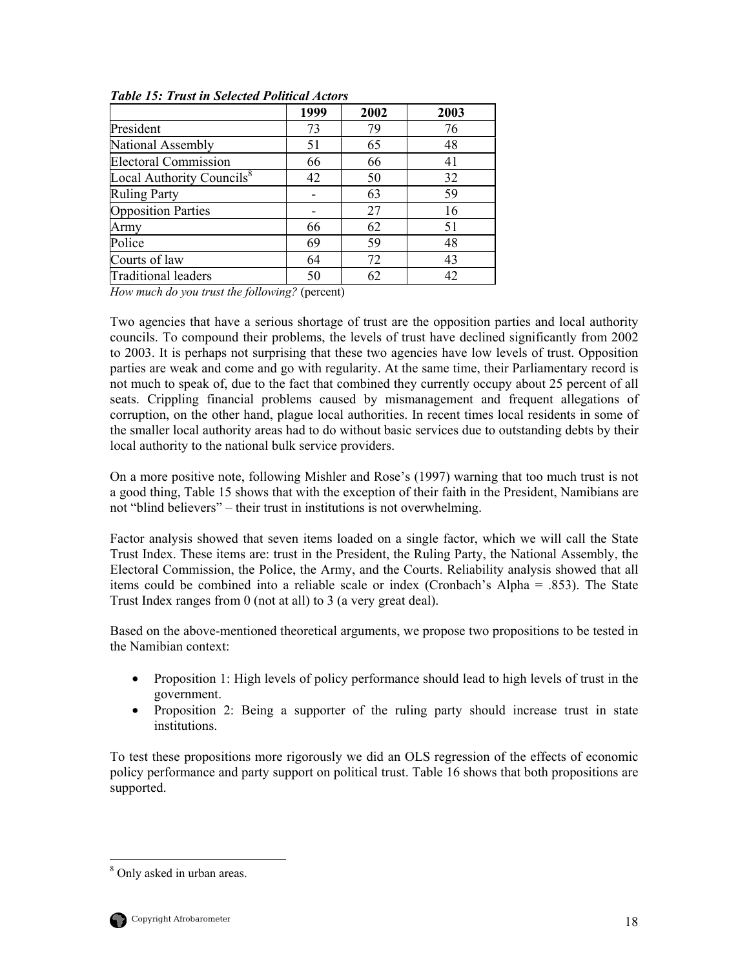|                                       | 1999 | 2002 | 2003 |
|---------------------------------------|------|------|------|
| President                             | 73   | 79   | 76   |
| National Assembly                     | 51   | 65   | 48   |
| <b>Electoral Commission</b>           | 66   | 66   | 41   |
| Local Authority Councils <sup>8</sup> | 42   | 50   | 32   |
| <b>Ruling Party</b>                   |      | 63   | 59   |
| <b>Opposition Parties</b>             |      | 27   | 16   |
| Army                                  | 66   | 62   | 51   |
| Police                                | 69   | 59   | 48   |
| Courts of law                         | 64   | 72   | 43   |
| <b>Traditional leaders</b>            | 50   | 62   | 42   |

<span id="page-27-0"></span>*Table 15: Trust in Selected Political Actors* 

*How much do you trust the following?* (percent)

Two agencies that have a serious shortage of trust are the opposition parties and local authority councils. To compound their problems, the levels of trust have declined significantly from 2002 to 2003. It is perhaps not surprising that these two agencies have low levels of trust. Opposition parties are weak and come and go with regularity. At the same time, their Parliamentary record is not much to speak of, due to the fact that combined they currently occupy about 25 percent of all seats. Crippling financial problems caused by mismanagement and frequent allegations of corruption, on the other hand, plague local authorities. In recent times local residents in some of the smaller local authority areas had to do without basic services due to outstanding debts by their local authority to the national bulk service providers.

On a more positive note, following Mishler and Rose's (1997) warning that too much trust is not a good thing, Table 15 shows that with the exception of their faith in the President, Namibians are not "blind believers" – their trust in institutions is not overwhelming.

Factor analysis showed that seven items loaded on a single factor, which we will call the State Trust Index. These items are: trust in the President, the Ruling Party, the National Assembly, the Electoral Commission, the Police, the Army, and the Courts. Reliability analysis showed that all items could be combined into a reliable scale or index (Cronbach's Alpha = .853). The State Trust Index ranges from 0 (not at all) to 3 (a very great deal).

Based on the above-mentioned theoretical arguments, we propose two propositions to be tested in the Namibian context:

- Proposition 1: High levels of policy performance should lead to high levels of trust in the government.
- Proposition 2: Being a supporter of the ruling party should increase trust in state institutions.

To test these propositions more rigorously we did an OLS regression of the effects of economic policy performance and party support on political trust. Table 16 shows that both propositions are supported.

<span id="page-27-1"></span>8 <sup>8</sup> Only asked in urban areas.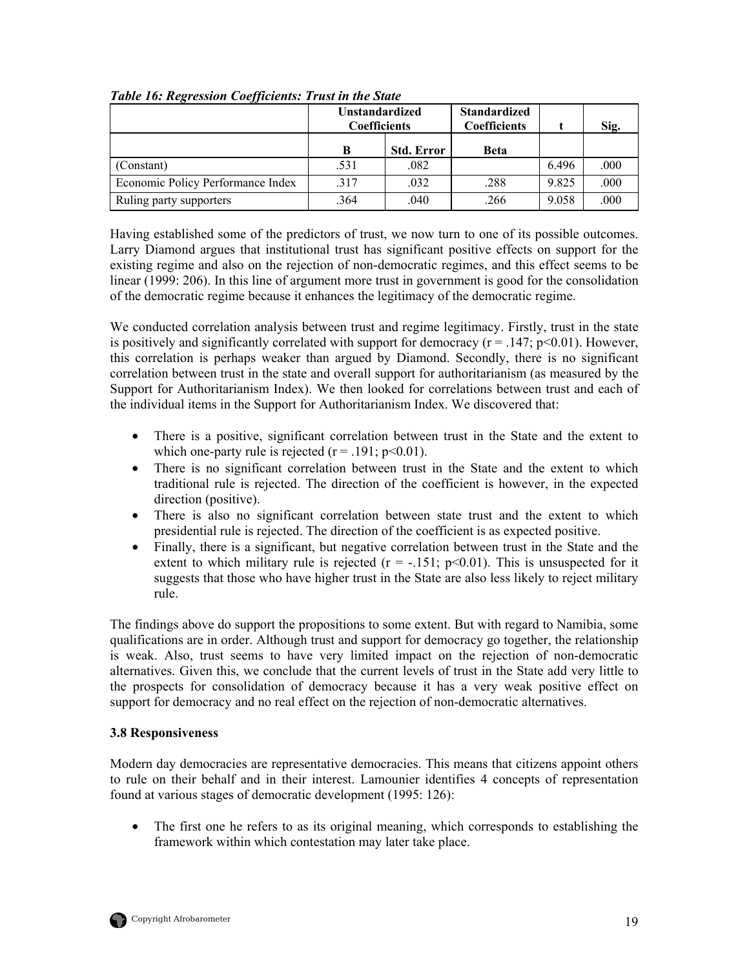| IJ                                | <b>Unstandardized</b><br><b>Coefficients</b> |                   | <b>Standardized</b><br><b>Coefficients</b> |       | Sig. |
|-----------------------------------|----------------------------------------------|-------------------|--------------------------------------------|-------|------|
|                                   | B                                            | <b>Std. Error</b> | Beta                                       |       |      |
| (Constant)                        | .531                                         | .082              |                                            | 6.496 | .000 |
| Economic Policy Performance Index | .317                                         | .032              | .288                                       | 9.825 | .000 |
| Ruling party supporters           | 364                                          | .040              | .266                                       | 9.058 | .000 |

<span id="page-28-0"></span>*Table 16: Regression Coefficients: Trust in the State* 

Having established some of the predictors of trust, we now turn to one of its possible outcomes. Larry Diamond argues that institutional trust has significant positive effects on support for the existing regime and also on the rejection of non-democratic regimes, and this effect seems to be linear (1999: 206). In this line of argument more trust in government is good for the consolidation of the democratic regime because it enhances the legitimacy of the democratic regime.

We conducted correlation analysis between trust and regime legitimacy. Firstly, trust in the state is positively and significantly correlated with support for democracy ( $r = .147$ ;  $p \le 0.01$ ). However, this correlation is perhaps weaker than argued by Diamond. Secondly, there is no significant correlation between trust in the state and overall support for authoritarianism (as measured by the Support for Authoritarianism Index). We then looked for correlations between trust and each of the individual items in the Support for Authoritarianism Index. We discovered that:

- There is a positive, significant correlation between trust in the State and the extent to which one-party rule is rejected  $(r = .191; p<0.01)$ .
- There is no significant correlation between trust in the State and the extent to which traditional rule is rejected. The direction of the coefficient is however, in the expected direction (positive).
- There is also no significant correlation between state trust and the extent to which presidential rule is rejected. The direction of the coefficient is as expected positive.
- Finally, there is a significant, but negative correlation between trust in the State and the extent to which military rule is rejected  $(r = -.151; p<0.01)$ . This is unsuspected for it suggests that those who have higher trust in the State are also less likely to reject military rule.

The findings above do support the propositions to some extent. But with regard to Namibia, some qualifications are in order. Although trust and support for democracy go together, the relationship is weak. Also, trust seems to have very limited impact on the rejection of non-democratic alternatives. Given this, we conclude that the current levels of trust in the State add very little to the prospects for consolidation of democracy because it has a very weak positive effect on support for democracy and no real effect on the rejection of non-democratic alternatives.

#### **3.8 Responsiveness**

Modern day democracies are representative democracies. This means that citizens appoint others to rule on their behalf and in their interest. Lamounier identifies 4 concepts of representation found at various stages of democratic development (1995: 126):

• The first one he refers to as its original meaning, which corresponds to establishing the framework within which contestation may later take place.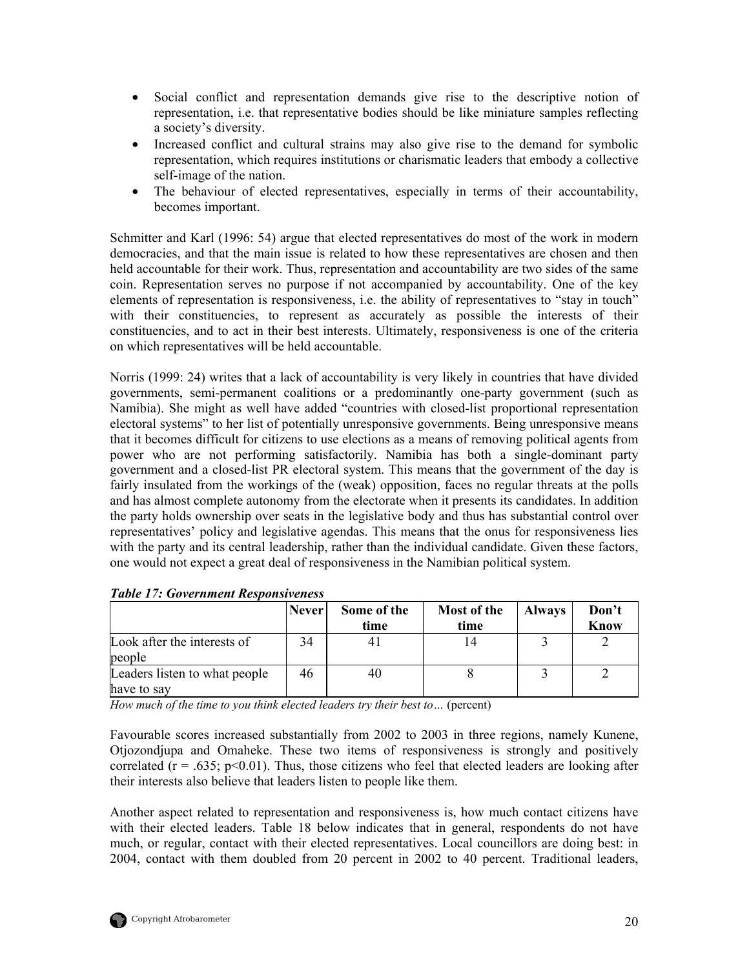- <span id="page-29-0"></span>• Social conflict and representation demands give rise to the descriptive notion of representation, i.e. that representative bodies should be like miniature samples reflecting a society's diversity.
- Increased conflict and cultural strains may also give rise to the demand for symbolic representation, which requires institutions or charismatic leaders that embody a collective self-image of the nation.
- The behaviour of elected representatives, especially in terms of their accountability, becomes important.

Schmitter and Karl (1996: 54) argue that elected representatives do most of the work in modern democracies, and that the main issue is related to how these representatives are chosen and then held accountable for their work. Thus, representation and accountability are two sides of the same coin. Representation serves no purpose if not accompanied by accountability. One of the key elements of representation is responsiveness, i.e. the ability of representatives to "stay in touch" with their constituencies, to represent as accurately as possible the interests of their constituencies, and to act in their best interests. Ultimately, responsiveness is one of the criteria on which representatives will be held accountable.

Norris (1999: 24) writes that a lack of accountability is very likely in countries that have divided governments, semi-permanent coalitions or a predominantly one-party government (such as Namibia). She might as well have added "countries with closed-list proportional representation electoral systems" to her list of potentially unresponsive governments. Being unresponsive means that it becomes difficult for citizens to use elections as a means of removing political agents from power who are not performing satisfactorily. Namibia has both a single-dominant party government and a closed-list PR electoral system. This means that the government of the day is fairly insulated from the workings of the (weak) opposition, faces no regular threats at the polls and has almost complete autonomy from the electorate when it presents its candidates. In addition the party holds ownership over seats in the legislative body and thus has substantial control over representatives' policy and legislative agendas. This means that the onus for responsiveness lies with the party and its central leadership, rather than the individual candidate. Given these factors, one would not expect a great deal of responsiveness in the Namibian political system.

|                                              | <b>Never</b> | Some of the<br>time | Most of the<br>time | <b>Always</b> | Don't<br>Know |
|----------------------------------------------|--------------|---------------------|---------------------|---------------|---------------|
| Look after the interests of<br>people        | 34           |                     |                     |               |               |
| Leaders listen to what people<br>have to say | 46           | 40                  |                     |               |               |

| <b>Table 17: Government Responsiveness</b> |
|--------------------------------------------|
|--------------------------------------------|

*How much of the time to you think elected leaders try their best to…* (percent)

Favourable scores increased substantially from 2002 to 2003 in three regions, namely Kunene, Otjozondjupa and Omaheke. These two items of responsiveness is strongly and positively correlated ( $r = .635$ ;  $p < 0.01$ ). Thus, those citizens who feel that elected leaders are looking after their interests also believe that leaders listen to people like them.

Another aspect related to representation and responsiveness is, how much contact citizens have with their elected leaders. Table 18 below indicates that in general, respondents do not have much, or regular, contact with their elected representatives. Local councillors are doing best: in 2004, contact with them doubled from 20 percent in 2002 to 40 percent. Traditional leaders,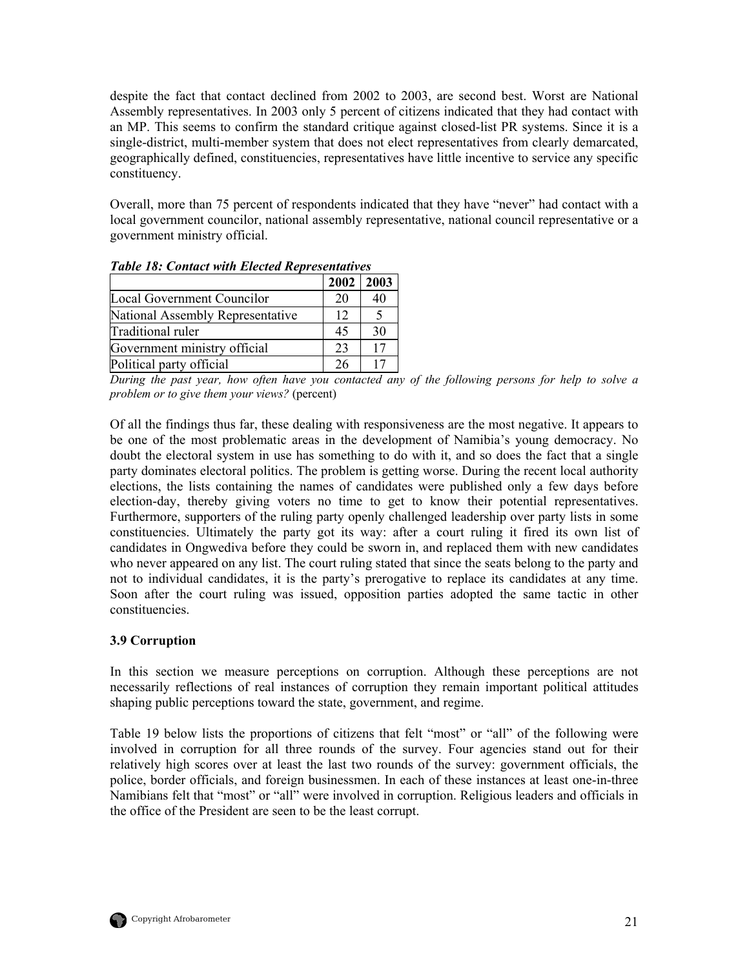<span id="page-30-0"></span>despite the fact that contact declined from 2002 to 2003, are second best. Worst are National Assembly representatives. In 2003 only 5 percent of citizens indicated that they had contact with an MP. This seems to confirm the standard critique against closed-list PR systems. Since it is a single-district, multi-member system that does not elect representatives from clearly demarcated, geographically defined, constituencies, representatives have little incentive to service any specific constituency.

Overall, more than 75 percent of respondents indicated that they have "never" had contact with a local government councilor, national assembly representative, national council representative or a government ministry official.

| Tuble To. Contact with Elected Representatives |      |      |  |  |
|------------------------------------------------|------|------|--|--|
|                                                | 2002 | 2003 |  |  |
| Local Government Councilor                     | 20   | 40   |  |  |
| National Assembly Representative               | 12   |      |  |  |
| Traditional ruler                              | 45   | 30   |  |  |
| Government ministry official                   | 23   | 17   |  |  |
| Political party official                       | 26   |      |  |  |

*Table 18: Contact with Elected Representatives* 

*During the past year, how often have you contacted any of the following persons for help to solve a problem or to give them your views?* (percent)

Of all the findings thus far, these dealing with responsiveness are the most negative. It appears to be one of the most problematic areas in the development of Namibia's young democracy. No doubt the electoral system in use has something to do with it, and so does the fact that a single party dominates electoral politics. The problem is getting worse. During the recent local authority elections, the lists containing the names of candidates were published only a few days before election-day, thereby giving voters no time to get to know their potential representatives. Furthermore, supporters of the ruling party openly challenged leadership over party lists in some constituencies. Ultimately the party got its way: after a court ruling it fired its own list of candidates in Ongwediva before they could be sworn in, and replaced them with new candidates who never appeared on any list. The court ruling stated that since the seats belong to the party and not to individual candidates, it is the party's prerogative to replace its candidates at any time. Soon after the court ruling was issued, opposition parties adopted the same tactic in other constituencies.

## **3.9 Corruption**

In this section we measure perceptions on corruption. Although these perceptions are not necessarily reflections of real instances of corruption they remain important political attitudes shaping public perceptions toward the state, government, and regime.

Table 19 below lists the proportions of citizens that felt "most" or "all" of the following were involved in corruption for all three rounds of the survey. Four agencies stand out for their relatively high scores over at least the last two rounds of the survey: government officials, the police, border officials, and foreign businessmen. In each of these instances at least one-in-three Namibians felt that "most" or "all" were involved in corruption. Religious leaders and officials in the office of the President are seen to be the least corrupt.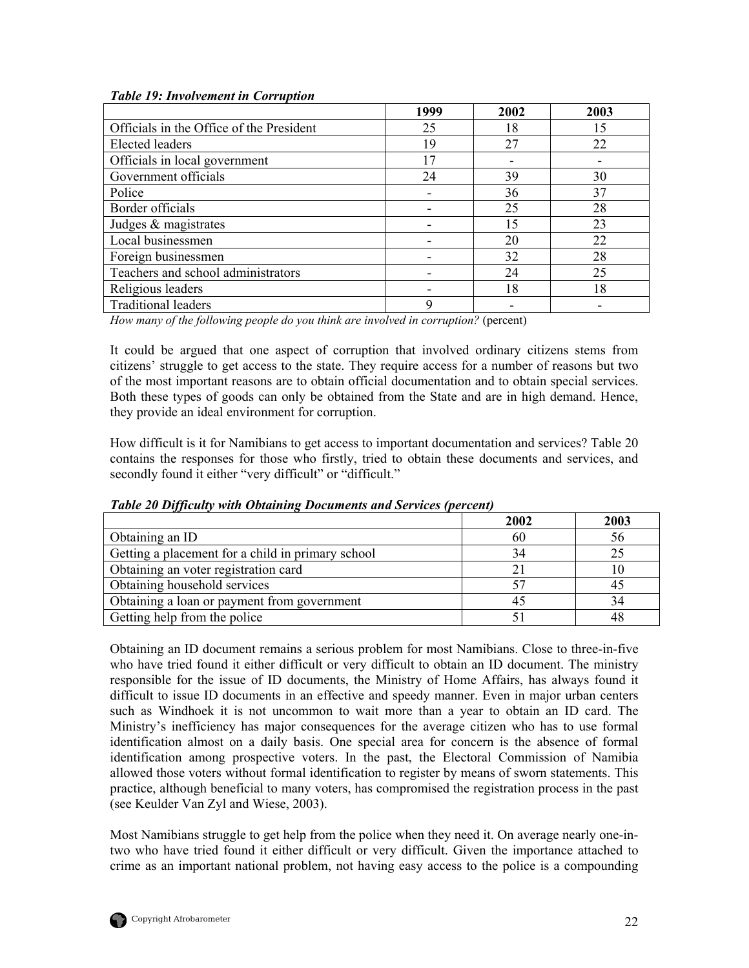<span id="page-31-0"></span>

| <b>Table 19: Involvement in Corruption</b> |
|--------------------------------------------|
|--------------------------------------------|

|                                          | 1999 | 2002 | 2003 |
|------------------------------------------|------|------|------|
| Officials in the Office of the President | 25   | 18   | 15   |
| <b>Elected</b> leaders                   | 19   | 27   | 22   |
| Officials in local government            | 17   |      |      |
| Government officials                     | 24   | 39   | 30   |
| Police                                   |      | 36   | 37   |
| Border officials                         |      | 25   | 28   |
| Judges & magistrates                     |      | 15   | 23   |
| Local businessmen                        |      | 20   | 22   |
| Foreign businessmen                      |      | 32   | 28   |
| Teachers and school administrators       |      | 24   | 25   |
| Religious leaders                        |      | 18   | 18   |
| <b>Traditional leaders</b>               | 9    |      |      |

*How many of the following people do you think are involved in corruption?* (percent)

It could be argued that one aspect of corruption that involved ordinary citizens stems from citizens' struggle to get access to the state. They require access for a number of reasons but two of the most important reasons are to obtain official documentation and to obtain special services. Both these types of goods can only be obtained from the State and are in high demand. Hence, they provide an ideal environment for corruption.

How difficult is it for Namibians to get access to important documentation and services? Table 20 contains the responses for those who firstly, tried to obtain these documents and services, and secondly found it either "very difficult" or "difficult."

| $\cdot$                                           | 2002 | 2003 |
|---------------------------------------------------|------|------|
| Obtaining an ID                                   | 60   | 56   |
| Getting a placement for a child in primary school | 34   |      |
| Obtaining an voter registration card              |      |      |
| Obtaining household services                      |      |      |
| Obtaining a loan or payment from government       |      |      |
| Getting help from the police                      |      |      |

*Table 20 Difficulty with Obtaining Documents and Services (percent)* 

Obtaining an ID document remains a serious problem for most Namibians. Close to three-in-five who have tried found it either difficult or very difficult to obtain an ID document. The ministry responsible for the issue of ID documents, the Ministry of Home Affairs, has always found it difficult to issue ID documents in an effective and speedy manner. Even in major urban centers such as Windhoek it is not uncommon to wait more than a year to obtain an ID card. The Ministry's inefficiency has major consequences for the average citizen who has to use formal identification almost on a daily basis. One special area for concern is the absence of formal identification among prospective voters. In the past, the Electoral Commission of Namibia allowed those voters without formal identification to register by means of sworn statements. This practice, although beneficial to many voters, has compromised the registration process in the past (see Keulder Van Zyl and Wiese, 2003).

Most Namibians struggle to get help from the police when they need it. On average nearly one-intwo who have tried found it either difficult or very difficult. Given the importance attached to crime as an important national problem, not having easy access to the police is a compounding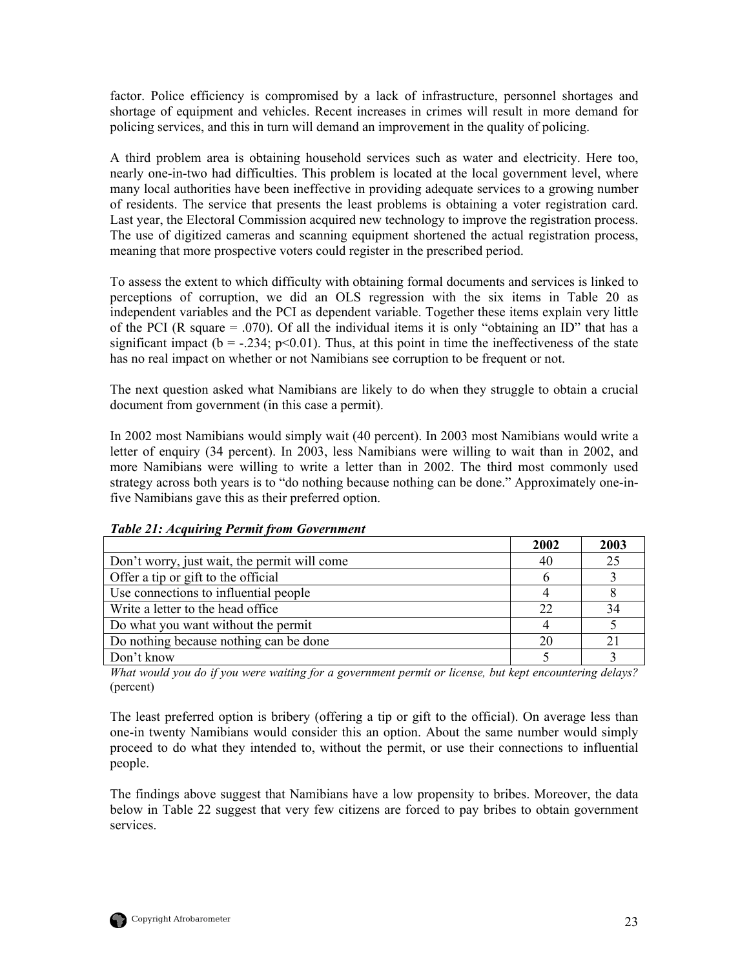<span id="page-32-0"></span>factor. Police efficiency is compromised by a lack of infrastructure, personnel shortages and shortage of equipment and vehicles. Recent increases in crimes will result in more demand for policing services, and this in turn will demand an improvement in the quality of policing.

A third problem area is obtaining household services such as water and electricity. Here too, nearly one-in-two had difficulties. This problem is located at the local government level, where many local authorities have been ineffective in providing adequate services to a growing number of residents. The service that presents the least problems is obtaining a voter registration card. Last year, the Electoral Commission acquired new technology to improve the registration process. The use of digitized cameras and scanning equipment shortened the actual registration process, meaning that more prospective voters could register in the prescribed period.

To assess the extent to which difficulty with obtaining formal documents and services is linked to perceptions of corruption, we did an OLS regression with the six items in Table 20 as independent variables and the PCI as dependent variable. Together these items explain very little of the PCI (R square = .070). Of all the individual items it is only "obtaining an ID" that has a significant impact ( $b = -.234$ ;  $p < 0.01$ ). Thus, at this point in time the ineffectiveness of the state has no real impact on whether or not Namibians see corruption to be frequent or not.

The next question asked what Namibians are likely to do when they struggle to obtain a crucial document from government (in this case a permit).

In 2002 most Namibians would simply wait (40 percent). In 2003 most Namibians would write a letter of enquiry (34 percent). In 2003, less Namibians were willing to wait than in 2002, and more Namibians were willing to write a letter than in 2002. The third most commonly used strategy across both years is to "do nothing because nothing can be done." Approximately one-infive Namibians gave this as their preferred option.

|                                              | 2002 | 2003 |
|----------------------------------------------|------|------|
| Don't worry, just wait, the permit will come | 40   | 25   |
| Offer a tip or gift to the official          |      |      |
| Use connections to influential people        |      |      |
| Write a letter to the head office            | 22   | 34   |
| Do what you want without the permit          |      |      |
| Do nothing because nothing can be done       |      | 21   |
| Don't know                                   |      |      |

*Table 21: Acquiring Permit from Government* 

*What would you do if you were waiting for a government permit or license, but kept encountering delays?* (percent)

The least preferred option is bribery (offering a tip or gift to the official). On average less than one-in twenty Namibians would consider this an option. About the same number would simply proceed to do what they intended to, without the permit, or use their connections to influential people.

The findings above suggest that Namibians have a low propensity to bribes. Moreover, the data below in Table 22 suggest that very few citizens are forced to pay bribes to obtain government services.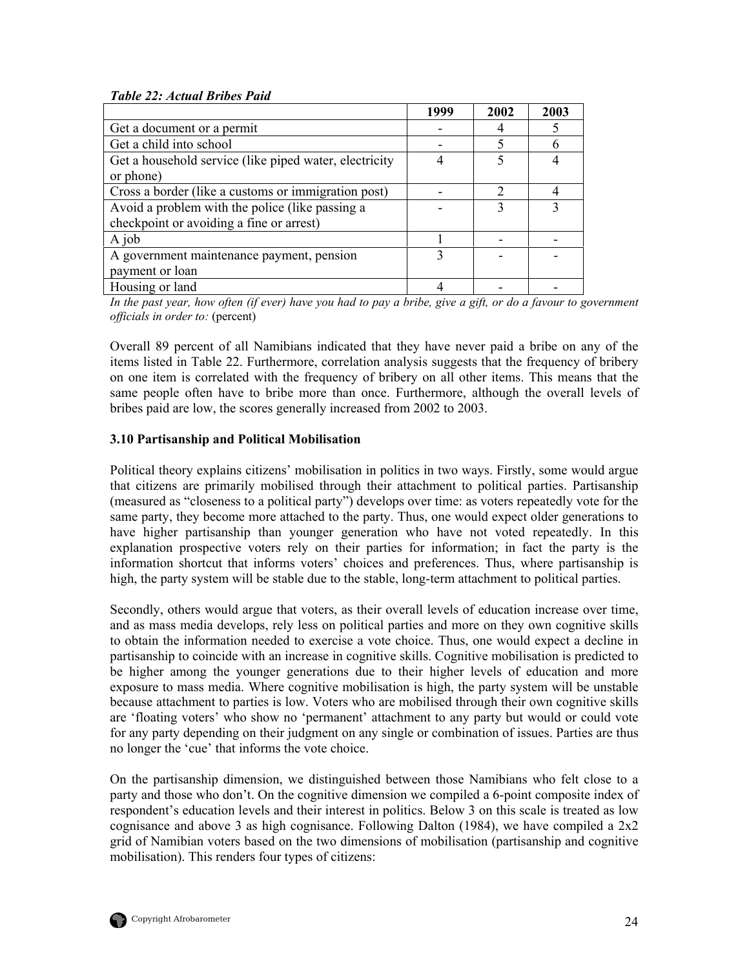#### <span id="page-33-0"></span>*Table 22: Actual Bribes Paid*

|                                                        | 1999 | 2002 | 2003 |
|--------------------------------------------------------|------|------|------|
| Get a document or a permit                             |      |      |      |
| Get a child into school                                |      |      | h    |
| Get a household service (like piped water, electricity |      |      |      |
| or phone)                                              |      |      |      |
| Cross a border (like a customs or immigration post)    |      |      |      |
| Avoid a problem with the police (like passing a        |      |      |      |
| checkpoint or avoiding a fine or arrest)               |      |      |      |
| A job                                                  |      |      |      |
| A government maintenance payment, pension              |      |      |      |
| payment or loan                                        |      |      |      |
| Housing or land                                        |      |      |      |

*In the past year, how often (if ever) have you had to pay a bribe, give a gift, or do a favour to government officials in order to:* (percent)

Overall 89 percent of all Namibians indicated that they have never paid a bribe on any of the items listed in Table 22. Furthermore, correlation analysis suggests that the frequency of bribery on one item is correlated with the frequency of bribery on all other items. This means that the same people often have to bribe more than once. Furthermore, although the overall levels of bribes paid are low, the scores generally increased from 2002 to 2003.

#### **3.10 Partisanship and Political Mobilisation**

Political theory explains citizens' mobilisation in politics in two ways. Firstly, some would argue that citizens are primarily mobilised through their attachment to political parties. Partisanship (measured as "closeness to a political party") develops over time: as voters repeatedly vote for the same party, they become more attached to the party. Thus, one would expect older generations to have higher partisanship than younger generation who have not voted repeatedly. In this explanation prospective voters rely on their parties for information; in fact the party is the information shortcut that informs voters' choices and preferences. Thus, where partisanship is high, the party system will be stable due to the stable, long-term attachment to political parties.

Secondly, others would argue that voters, as their overall levels of education increase over time, and as mass media develops, rely less on political parties and more on they own cognitive skills to obtain the information needed to exercise a vote choice. Thus, one would expect a decline in partisanship to coincide with an increase in cognitive skills. Cognitive mobilisation is predicted to be higher among the younger generations due to their higher levels of education and more exposure to mass media. Where cognitive mobilisation is high, the party system will be unstable because attachment to parties is low. Voters who are mobilised through their own cognitive skills are 'floating voters' who show no 'permanent' attachment to any party but would or could vote for any party depending on their judgment on any single or combination of issues. Parties are thus no longer the 'cue' that informs the vote choice.

On the partisanship dimension, we distinguished between those Namibians who felt close to a party and those who don't. On the cognitive dimension we compiled a 6-point composite index of respondent's education levels and their interest in politics. Below 3 on this scale is treated as low cognisance and above 3 as high cognisance. Following Dalton (1984), we have compiled a  $2x2$ grid of Namibian voters based on the two dimensions of mobilisation (partisanship and cognitive mobilisation). This renders four types of citizens: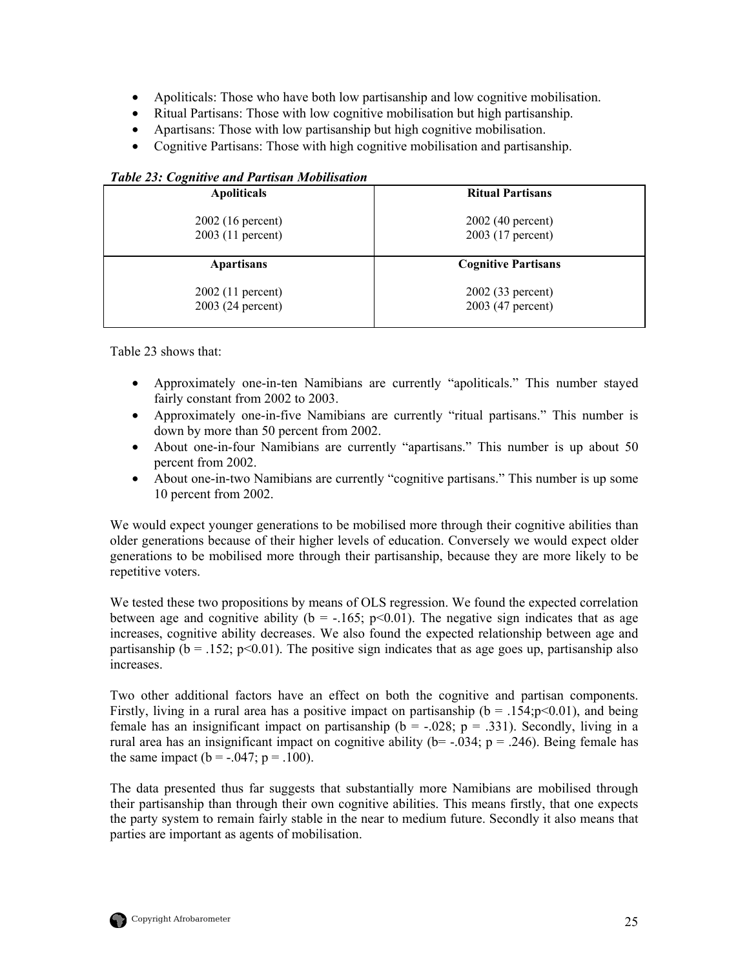- <span id="page-34-0"></span>• Apoliticals: Those who have both low partisanship and low cognitive mobilisation.
- Ritual Partisans: Those with low cognitive mobilisation but high partisanship.
- Apartisans: Those with low partisanship but high cognitive mobilisation.
- Cognitive Partisans: Those with high cognitive mobilisation and partisanship.

| <b>Ritual Partisans</b>    |  |  |
|----------------------------|--|--|
| 2002 (40 percent)          |  |  |
| 2003 (17 percent)          |  |  |
| <b>Cognitive Partisans</b> |  |  |
| 2002 (33 percent)          |  |  |
| 2003 (47 percent)          |  |  |
|                            |  |  |

#### *Table 23: Cognitive and Partisan Mobilisation*

Table 23 shows that:

- Approximately one-in-ten Namibians are currently "apoliticals." This number stayed fairly constant from 2002 to 2003.
- Approximately one-in-five Namibians are currently "ritual partisans." This number is down by more than 50 percent from 2002.
- About one-in-four Namibians are currently "apartisans." This number is up about 50 percent from 2002.
- About one-in-two Namibians are currently "cognitive partisans." This number is up some 10 percent from 2002.

We would expect younger generations to be mobilised more through their cognitive abilities than older generations because of their higher levels of education. Conversely we would expect older generations to be mobilised more through their partisanship, because they are more likely to be repetitive voters.

We tested these two propositions by means of OLS regression. We found the expected correlation between age and cognitive ability ( $b = -165$ ;  $p < 0.01$ ). The negative sign indicates that as age increases, cognitive ability decreases. We also found the expected relationship between age and partisanship ( $b = 0.152$ ; p<0.01). The positive sign indicates that as age goes up, partisanship also increases.

Two other additional factors have an effect on both the cognitive and partisan components. Firstly, living in a rural area has a positive impact on partisanship ( $b = .154$ ; $p < 0.01$ ), and being female has an insignificant impact on partisanship ( $b = -.028$ ;  $p = .331$ ). Secondly, living in a rural area has an insignificant impact on cognitive ability ( $b = -0.034$ ;  $p = 0.246$ ). Being female has the same impact ( $b = -.047$ ;  $p = .100$ ).

The data presented thus far suggests that substantially more Namibians are mobilised through their partisanship than through their own cognitive abilities. This means firstly, that one expects the party system to remain fairly stable in the near to medium future. Secondly it also means that parties are important as agents of mobilisation.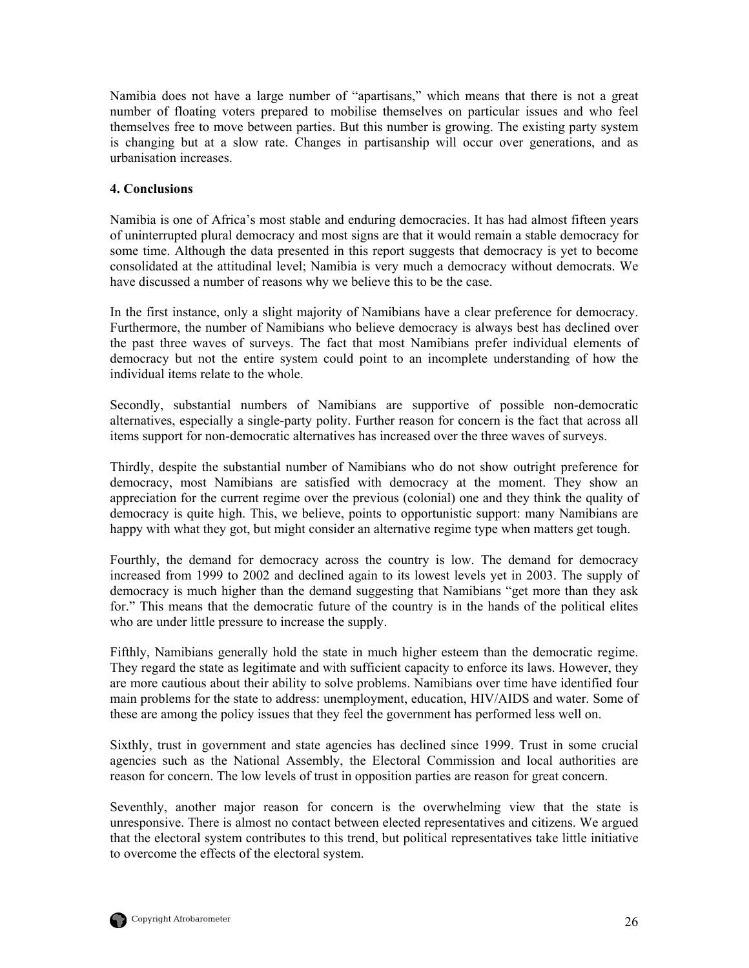<span id="page-35-0"></span>Namibia does not have a large number of "apartisans," which means that there is not a great number of floating voters prepared to mobilise themselves on particular issues and who feel themselves free to move between parties. But this number is growing. The existing party system is changing but at a slow rate. Changes in partisanship will occur over generations, and as urbanisation increases.

#### **4. Conclusions**

Namibia is one of Africa's most stable and enduring democracies. It has had almost fifteen years of uninterrupted plural democracy and most signs are that it would remain a stable democracy for some time. Although the data presented in this report suggests that democracy is yet to become consolidated at the attitudinal level; Namibia is very much a democracy without democrats. We have discussed a number of reasons why we believe this to be the case.

In the first instance, only a slight majority of Namibians have a clear preference for democracy. Furthermore, the number of Namibians who believe democracy is always best has declined over the past three waves of surveys. The fact that most Namibians prefer individual elements of democracy but not the entire system could point to an incomplete understanding of how the individual items relate to the whole.

Secondly, substantial numbers of Namibians are supportive of possible non-democratic alternatives, especially a single-party polity. Further reason for concern is the fact that across all items support for non-democratic alternatives has increased over the three waves of surveys.

Thirdly, despite the substantial number of Namibians who do not show outright preference for democracy, most Namibians are satisfied with democracy at the moment. They show an appreciation for the current regime over the previous (colonial) one and they think the quality of democracy is quite high. This, we believe, points to opportunistic support: many Namibians are happy with what they got, but might consider an alternative regime type when matters get tough.

Fourthly, the demand for democracy across the country is low. The demand for democracy increased from 1999 to 2002 and declined again to its lowest levels yet in 2003. The supply of democracy is much higher than the demand suggesting that Namibians "get more than they ask for." This means that the democratic future of the country is in the hands of the political elites who are under little pressure to increase the supply.

Fifthly, Namibians generally hold the state in much higher esteem than the democratic regime. They regard the state as legitimate and with sufficient capacity to enforce its laws. However, they are more cautious about their ability to solve problems. Namibians over time have identified four main problems for the state to address: unemployment, education, HIV/AIDS and water. Some of these are among the policy issues that they feel the government has performed less well on.

Sixthly, trust in government and state agencies has declined since 1999. Trust in some crucial agencies such as the National Assembly, the Electoral Commission and local authorities are reason for concern. The low levels of trust in opposition parties are reason for great concern.

Seventhly, another major reason for concern is the overwhelming view that the state is unresponsive. There is almost no contact between elected representatives and citizens. We argued that the electoral system contributes to this trend, but political representatives take little initiative to overcome the effects of the electoral system.

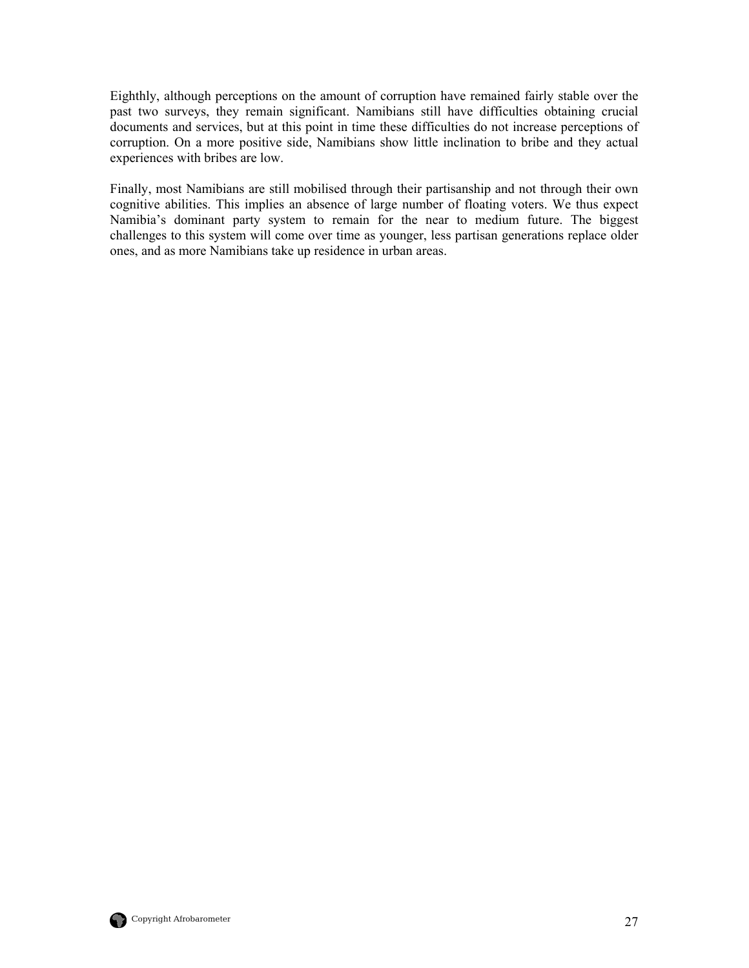Eighthly, although perceptions on the amount of corruption have remained fairly stable over the past two surveys, they remain significant. Namibians still have difficulties obtaining crucial documents and services, but at this point in time these difficulties do not increase perceptions of corruption. On a more positive side, Namibians show little inclination to bribe and they actual experiences with bribes are low.

Finally, most Namibians are still mobilised through their partisanship and not through their own cognitive abilities. This implies an absence of large number of floating voters. We thus expect Namibia's dominant party system to remain for the near to medium future. The biggest challenges to this system will come over time as younger, less partisan generations replace older ones, and as more Namibians take up residence in urban areas.

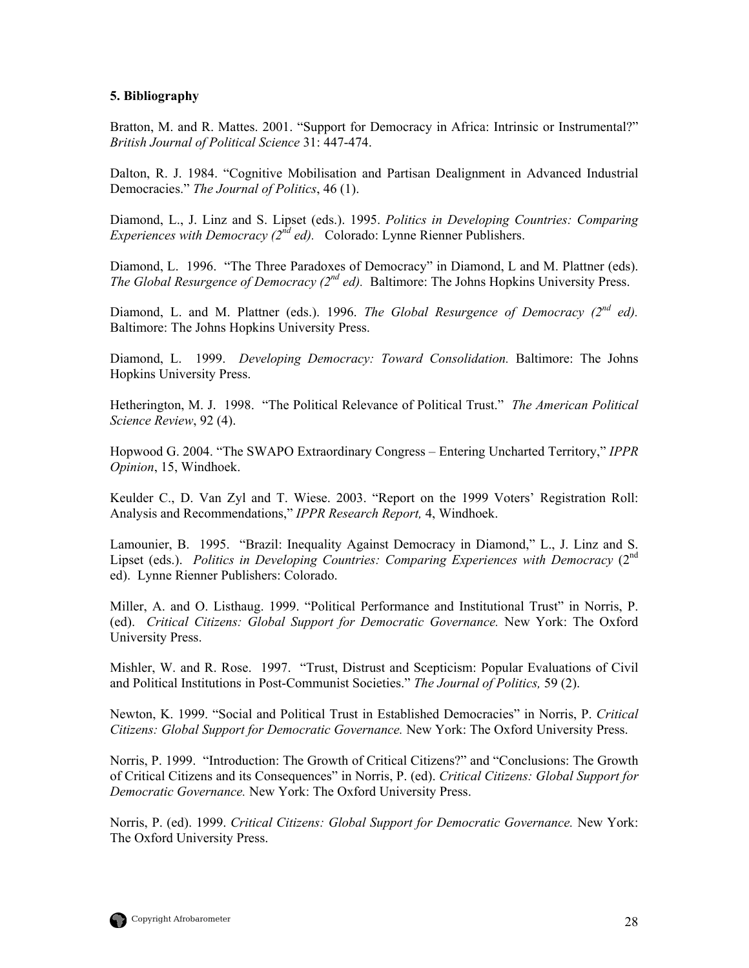#### <span id="page-37-0"></span>**5. Bibliography**

Bratton, M. and R. Mattes. 2001. "Support for Democracy in Africa: Intrinsic or Instrumental?" *British Journal of Political Science* 31: 447-474.

Dalton, R. J. 1984. "Cognitive Mobilisation and Partisan Dealignment in Advanced Industrial Democracies." *The Journal of Politics*, 46 (1).

Diamond, L., J. Linz and S. Lipset (eds.). 1995. *Politics in Developing Countries: Comparing Experiences with Democracy (2nd ed).* Colorado: Lynne Rienner Publishers.

Diamond, L. 1996. "The Three Paradoxes of Democracy" in Diamond, L and M. Plattner (eds). *The Global Resurgence of Democracy (2nd ed).* Baltimore: The Johns Hopkins University Press.

Diamond, L. and M. Plattner (eds.). 1996. *The Global Resurgence of Democracy (2nd ed).* Baltimore: The Johns Hopkins University Press.

Diamond, L. 1999. *Developing Democracy: Toward Consolidation.* Baltimore: The Johns Hopkins University Press.

Hetherington, M. J. 1998. "The Political Relevance of Political Trust." *The American Political Science Review*, 92 (4).

Hopwood G. 2004. "The SWAPO Extraordinary Congress – Entering Uncharted Territory," *IPPR Opinion*, 15, Windhoek.

Keulder C., D. Van Zyl and T. Wiese. 2003. "Report on the 1999 Voters' Registration Roll: Analysis and Recommendations," *IPPR Research Report,* 4, Windhoek.

Lamounier, B. 1995. "Brazil: Inequality Against Democracy in Diamond," L., J. Linz and S. Lipset (eds.). *Politics in Developing Countries: Comparing Experiences with Democracy* (2<sup>nd</sup>) ed). Lynne Rienner Publishers: Colorado.

Miller, A. and O. Listhaug. 1999. "Political Performance and Institutional Trust" in Norris, P. (ed). *Critical Citizens: Global Support for Democratic Governance.* New York: The Oxford University Press.

Mishler, W. and R. Rose. 1997. "Trust, Distrust and Scepticism: Popular Evaluations of Civil and Political Institutions in Post-Communist Societies." *The Journal of Politics,* 59 (2).

Newton, K. 1999. "Social and Political Trust in Established Democracies" in Norris, P. *Critical Citizens: Global Support for Democratic Governance.* New York: The Oxford University Press.

Norris, P. 1999. "Introduction: The Growth of Critical Citizens?" and "Conclusions: The Growth of Critical Citizens and its Consequences" in Norris, P. (ed). *Critical Citizens: Global Support for Democratic Governance.* New York: The Oxford University Press.

Norris, P. (ed). 1999. *Critical Citizens: Global Support for Democratic Governance.* New York: The Oxford University Press.